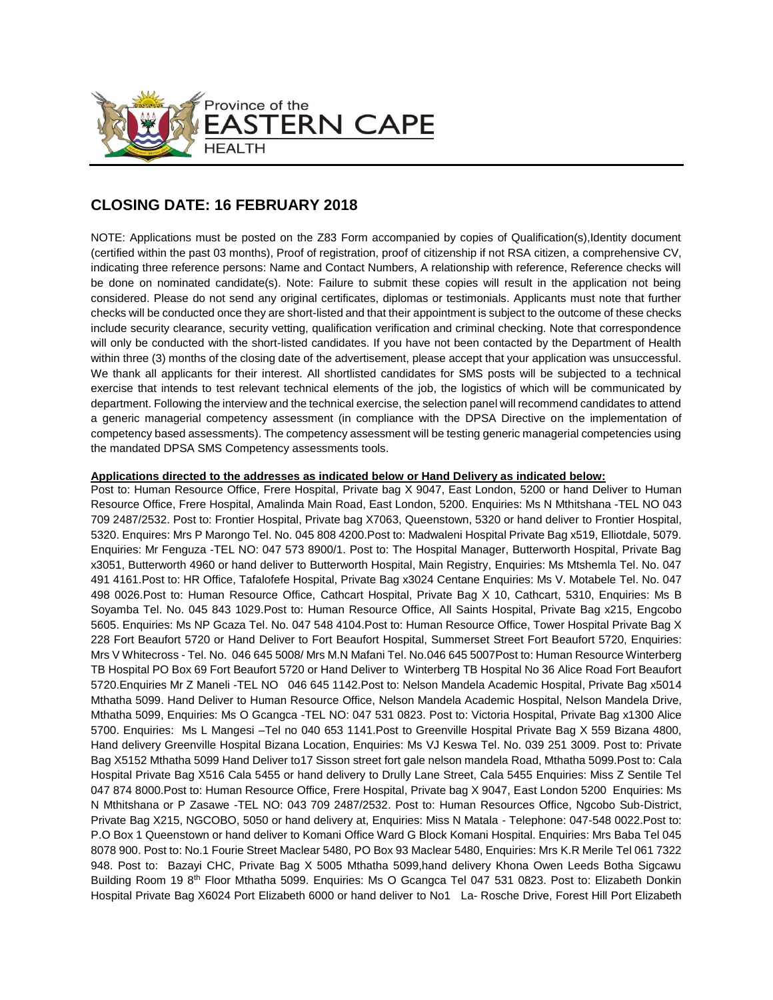

# **CLOSING DATE: 16 FEBRUARY 2018**

NOTE: Applications must be posted on the Z83 Form accompanied by copies of Qualification(s),Identity document (certified within the past 03 months), Proof of registration, proof of citizenship if not RSA citizen, a comprehensive CV, indicating three reference persons: Name and Contact Numbers, A relationship with reference, Reference checks will be done on nominated candidate(s). Note: Failure to submit these copies will result in the application not being considered. Please do not send any original certificates, diplomas or testimonials. Applicants must note that further checks will be conducted once they are short-listed and that their appointment is subject to the outcome of these checks include security clearance, security vetting, qualification verification and criminal checking. Note that correspondence will only be conducted with the short-listed candidates. If you have not been contacted by the Department of Health within three (3) months of the closing date of the advertisement, please accept that your application was unsuccessful. We thank all applicants for their interest. All shortlisted candidates for SMS posts will be subjected to a technical exercise that intends to test relevant technical elements of the job, the logistics of which will be communicated by department. Following the interview and the technical exercise, the selection panel will recommend candidates to attend a generic managerial competency assessment (in compliance with the DPSA Directive on the implementation of competency based assessments). The competency assessment will be testing generic managerial competencies using the mandated DPSA SMS Competency assessments tools.

## **Applications directed to the addresses as indicated below or Hand Delivery as indicated below:**

Post to: Human Resource Office, Frere Hospital, Private bag X 9047, East London, 5200 or hand Deliver to Human Resource Office, Frere Hospital, Amalinda Main Road, East London, 5200. Enquiries: Ms N Mthitshana -TEL NO 043 709 2487/2532. Post to: Frontier Hospital, Private bag X7063, Queenstown, 5320 or hand deliver to Frontier Hospital, 5320. Enquires: Mrs P Marongo Tel. No. 045 808 4200.Post to: Madwaleni Hospital Private Bag x519, Elliotdale, 5079. Enquiries: Mr Fenguza -TEL NO: 047 573 8900/1. Post to: The Hospital Manager, Butterworth Hospital, Private Bag x3051, Butterworth 4960 or hand deliver to Butterworth Hospital, Main Registry, Enquiries: Ms Mtshemla Tel. No. 047 491 4161.Post to: HR Office, Tafalofefe Hospital, Private Bag x3024 Centane Enquiries: Ms V. Motabele Tel. No. 047 498 0026.Post to: Human Resource Office, Cathcart Hospital, Private Bag X 10, Cathcart, 5310, Enquiries: Ms B Soyamba Tel. No. 045 843 1029.Post to: Human Resource Office, All Saints Hospital, Private Bag x215, Engcobo 5605. Enquiries: Ms NP Gcaza Tel. No. 047 548 4104.Post to: Human Resource Office, Tower Hospital Private Bag X 228 Fort Beaufort 5720 or Hand Deliver to Fort Beaufort Hospital, Summerset Street Fort Beaufort 5720, Enquiries: Mrs V Whitecross - Tel. No. 046 645 5008/ Mrs M.N Mafani Tel. No.046 645 5007Post to: Human Resource Winterberg TB Hospital PO Box 69 Fort Beaufort 5720 or Hand Deliver to Winterberg TB Hospital No 36 Alice Road Fort Beaufort 5720.Enquiries Mr Z Maneli -TEL NO 046 645 1142.Post to: Nelson Mandela Academic Hospital, Private Bag x5014 Mthatha 5099. Hand Deliver to Human Resource Office, Nelson Mandela Academic Hospital, Nelson Mandela Drive, Mthatha 5099, Enquiries: Ms O Gcangca -TEL NO: 047 531 0823. Post to: Victoria Hospital, Private Bag x1300 Alice 5700. Enquiries: Ms L Mangesi –Tel no 040 653 1141.Post to Greenville Hospital Private Bag X 559 Bizana 4800, Hand delivery Greenville Hospital Bizana Location, Enquiries: Ms VJ Keswa Tel. No. 039 251 3009. Post to: Private Bag X5152 Mthatha 5099 Hand Deliver to17 Sisson street fort gale nelson mandela Road, Mthatha 5099.Post to: Cala Hospital Private Bag X516 Cala 5455 or hand delivery to Drully Lane Street, Cala 5455 Enquiries: Miss Z Sentile Tel 047 874 8000.Post to: Human Resource Office, Frere Hospital, Private bag X 9047, East London 5200 Enquiries: Ms N Mthitshana or P Zasawe -TEL NO: 043 709 2487/2532. Post to: Human Resources Office, Ngcobo Sub-District, Private Bag X215, NGCOBO, 5050 or hand delivery at, Enquiries: Miss N Matala - Telephone: 047-548 0022.Post to: P.O Box 1 Queenstown or hand deliver to Komani Office Ward G Block Komani Hospital. Enquiries: Mrs Baba Tel 045 8078 900. Post to: No.1 Fourie Street Maclear 5480, PO Box 93 Maclear 5480, Enquiries: Mrs K.R Merile Tel 061 7322 948. Post to: Bazayi CHC, Private Bag X 5005 Mthatha 5099,hand delivery Khona Owen Leeds Botha Sigcawu Building Room 19 8th Floor Mthatha 5099. Enquiries: Ms O Gcangca Tel 047 531 0823. Post to: Elizabeth Donkin Hospital Private Bag X6024 Port Elizabeth 6000 or hand deliver to No1 La- Rosche Drive, Forest Hill Port Elizabeth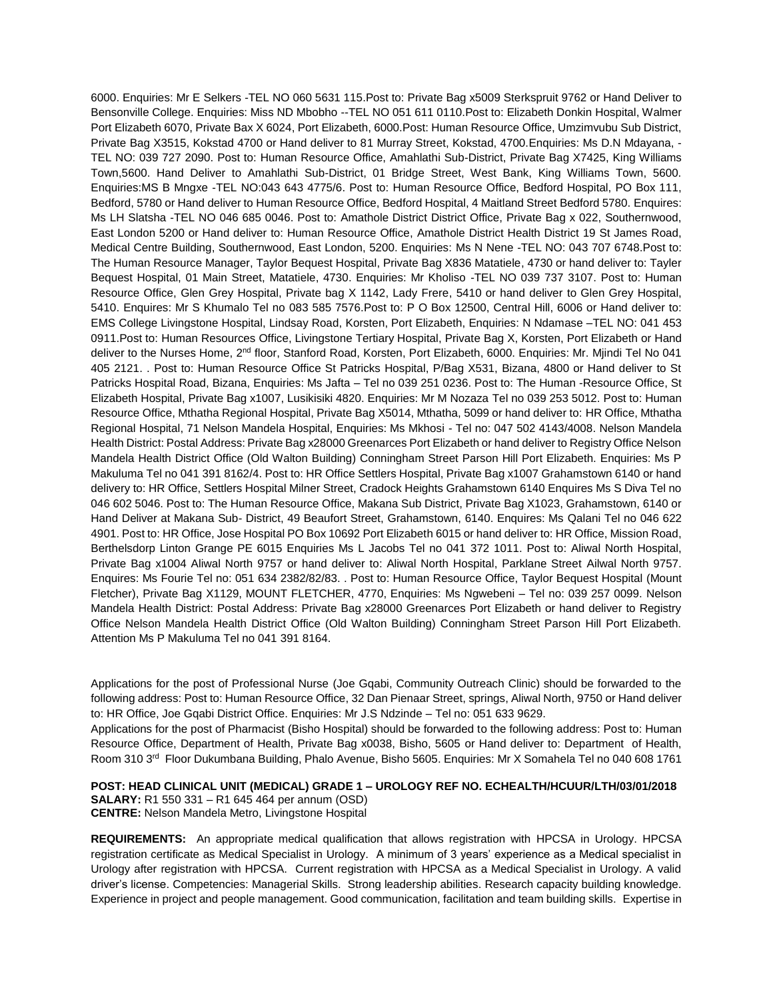6000. Enquiries: Mr E Selkers -TEL NO 060 5631 115.Post to: Private Bag x5009 Sterkspruit 9762 or Hand Deliver to Bensonville College. Enquiries: Miss ND Mbobho --TEL NO 051 611 0110.Post to: Elizabeth Donkin Hospital, Walmer Port Elizabeth 6070, Private Bax X 6024, Port Elizabeth, 6000.Post: Human Resource Office, Umzimvubu Sub District, Private Bag X3515, Kokstad 4700 or Hand deliver to 81 Murray Street, Kokstad, 4700.Enquiries: Ms D.N Mdayana, - TEL NO: 039 727 2090. Post to: Human Resource Office, Amahlathi Sub-District, Private Bag X7425, King Williams Town,5600. Hand Deliver to Amahlathi Sub-District, 01 Bridge Street, West Bank, King Williams Town, 5600. Enquiries:MS B Mngxe -TEL NO:043 643 4775/6. Post to: Human Resource Office, Bedford Hospital, PO Box 111, Bedford, 5780 or Hand deliver to Human Resource Office, Bedford Hospital, 4 Maitland Street Bedford 5780. Enquires: Ms LH Slatsha -TEL NO 046 685 0046. Post to: Amathole District District Office, Private Bag x 022, Southernwood, East London 5200 or Hand deliver to: Human Resource Office, Amathole District Health District 19 St James Road, Medical Centre Building, Southernwood, East London, 5200. Enquiries: Ms N Nene -TEL NO: 043 707 6748.Post to: The Human Resource Manager, Taylor Bequest Hospital, Private Bag X836 Matatiele, 4730 or hand deliver to: Tayler Bequest Hospital, 01 Main Street, Matatiele, 4730. Enquiries: Mr Kholiso -TEL NO 039 737 3107. Post to: Human Resource Office, Glen Grey Hospital, Private bag X 1142, Lady Frere, 5410 or hand deliver to Glen Grey Hospital, 5410. Enquires: Mr S Khumalo Tel no 083 585 7576.Post to: P O Box 12500, Central Hill, 6006 or Hand deliver to: EMS College Livingstone Hospital, Lindsay Road, Korsten, Port Elizabeth, Enquiries: N Ndamase –TEL NO: 041 453 0911.Post to: Human Resources Office, Livingstone Tertiary Hospital, Private Bag X, Korsten, Port Elizabeth or Hand deliver to the Nurses Home, 2<sup>nd</sup> floor, Stanford Road, Korsten, Port Elizabeth, 6000. Enquiries: Mr. Mjindi Tel No 041 405 2121. . Post to: Human Resource Office St Patricks Hospital, P/Bag X531, Bizana, 4800 or Hand deliver to St Patricks Hospital Road, Bizana, Enquiries: Ms Jafta – [Tel no 039](Tel:039) 251 0236. Post to: The Human -Resource Office, St Elizabeth Hospital, Private Bag x1007, Lusikisiki 4820. Enquiries: Mr M Nozaza Tel no 039 253 5012. Post to: Human Resource Office, Mthatha Regional Hospital, Private Bag X5014, Mthatha, 5099 or hand deliver to: HR Office, Mthatha Regional Hospital, 71 Nelson Mandela Hospital, Enquiries: Ms Mkhosi - Tel no: 047 502 4143/4008. Nelson Mandela Health District: Postal Address: Private Bag x28000 Greenarces Port Elizabeth or hand deliver to Registry Office Nelson Mandela Health District Office (Old Walton Building) Conningham Street Parson Hill Port Elizabeth. Enquiries: Ms P Makuluma Tel no 041 391 8162/4. Post to: HR Office Settlers Hospital, Private Bag x1007 Grahamstown 6140 or hand delivery to: HR Office, Settlers Hospital Milner Street, Cradock Heights Grahamstown 6140 Enquires Ms S Diva Tel no 046 602 5046. Post to: The Human Resource Office, Makana Sub District, Private Bag X1023, Grahamstown, 6140 or Hand Deliver at Makana Sub- District, 49 Beaufort Street, Grahamstown, 6140. Enquires: Ms Qalani Tel no 046 622 4901. Post to: HR Office, Jose Hospital PO Box 10692 Port Elizabeth 6015 or hand deliver to: HR Office, Mission Road, Berthelsdorp Linton Grange PE 6015 Enquiries Ms L Jacobs Tel no 041 372 1011. Post to: Aliwal North Hospital, Private Bag x1004 Aliwal North 9757 or hand deliver to: Aliwal North Hospital, Parklane Street Ailwal North 9757. Enquires: Ms Fourie Tel no: 051 634 2382/82/83. . Post to: Human Resource Office, Taylor Bequest Hospital (Mount Fletcher), Private Bag X1129, MOUNT FLETCHER, 4770, Enquiries: Ms Ngwebeni – Tel no: 039 257 0099. Nelson Mandela Health District: Postal Address: Private Bag x28000 Greenarces Port Elizabeth or hand deliver to Registry Office Nelson Mandela Health District Office (Old Walton Building) Conningham Street Parson Hill Port Elizabeth. Attention Ms P Makuluma Tel no 041 391 8164.

Applications for the post of Professional Nurse (Joe Gqabi, Community Outreach Clinic) should be forwarded to the following address: Post to: Human Resource Office, 32 Dan Pienaar Street, springs, Aliwal North, 9750 or Hand deliver to: HR Office, Joe Gqabi District Office. Enquiries: Mr J.S Ndzinde – Tel no: 051 633 9629.

Applications for the post of Pharmacist (Bisho Hospital) should be forwarded to the following address: Post to: Human Resource Office, Department of Health, Private Bag x0038, Bisho, 5605 or Hand deliver to: Department of Health, Room 310 3<sup>rd</sup> Floor Dukumbana Building, Phalo Avenue, Bisho 5605. Enquiries: Mr X Somahela Tel no 040 608 1761

**POST: HEAD CLINICAL UNIT (MEDICAL) GRADE 1 – UROLOGY REF NO. ECHEALTH/HCUUR/LTH/03/01/2018 SALARY:** R1 550 331 – R1 645 464 per annum (OSD) **CENTRE:** Nelson Mandela Metro, Livingstone Hospital

**REQUIREMENTS:** An appropriate medical qualification that allows registration with HPCSA in Urology. HPCSA registration certificate as Medical Specialist in Urology. A minimum of 3 years' experience as a Medical specialist in Urology after registration with HPCSA. Current registration with HPCSA as a Medical Specialist in Urology. A valid driver's license. Competencies: Managerial Skills. Strong leadership abilities. Research capacity building knowledge. Experience in project and people management. Good communication, facilitation and team building skills. Expertise in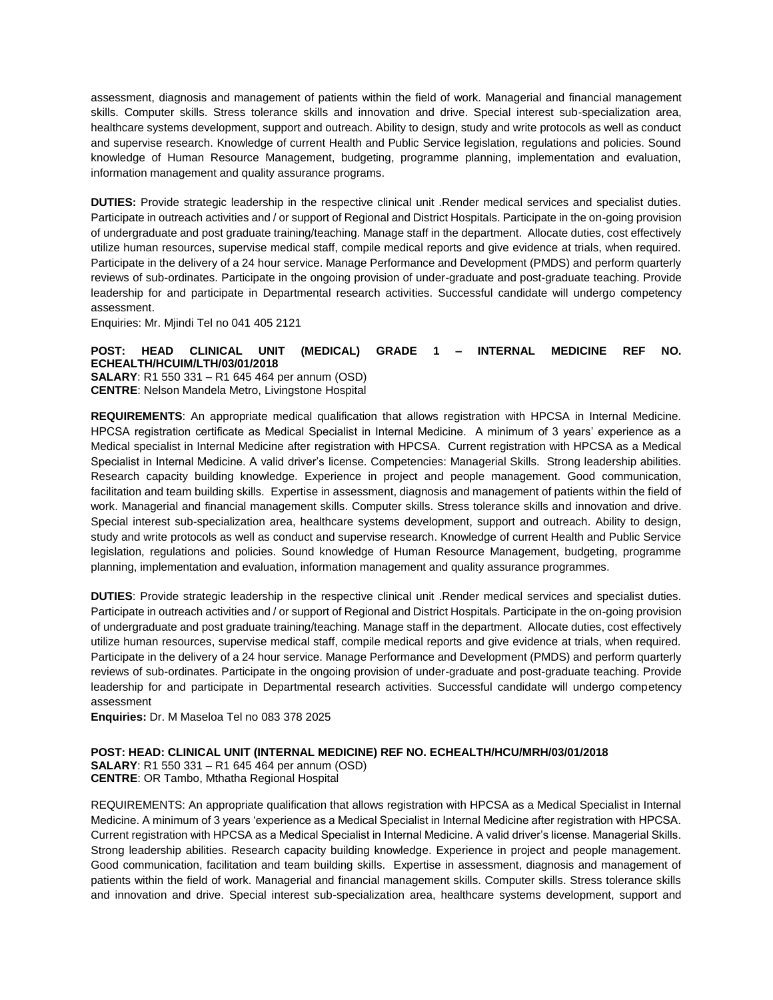assessment, diagnosis and management of patients within the field of work. Managerial and financial management skills. Computer skills. Stress tolerance skills and innovation and drive. Special interest sub-specialization area, healthcare systems development, support and outreach. Ability to design, study and write protocols as well as conduct and supervise research. Knowledge of current Health and Public Service legislation, regulations and policies. Sound knowledge of Human Resource Management, budgeting, programme planning, implementation and evaluation, information management and quality assurance programs.

**DUTIES:** Provide strategic leadership in the respective clinical unit .Render medical services and specialist duties. Participate in outreach activities and / or support of Regional and District Hospitals. Participate in the on-going provision of undergraduate and post graduate training/teaching. Manage staff in the department. Allocate duties, cost effectively utilize human resources, supervise medical staff, compile medical reports and give evidence at trials, when required. Participate in the delivery of a 24 hour service. Manage Performance and Development (PMDS) and perform quarterly reviews of sub-ordinates. Participate in the ongoing provision of under-graduate and post-graduate teaching. Provide leadership for and participate in Departmental research activities. Successful candidate will undergo competency assessment.

Enquiries: Mr. Mjindi Tel no 041 405 2121

#### **POST: HEAD CLINICAL UNIT (MEDICAL) GRADE 1 – INTERNAL MEDICINE REF NO. ECHEALTH/HCUIM/LTH/03/01/2018**

**SALARY**: R1 550 331 – R1 645 464 per annum (OSD) **CENTRE**: Nelson Mandela Metro, Livingstone Hospital

**REQUIREMENTS**: An appropriate medical qualification that allows registration with HPCSA in Internal Medicine. HPCSA registration certificate as Medical Specialist in Internal Medicine. A minimum of 3 years' experience as a Medical specialist in Internal Medicine after registration with HPCSA. Current registration with HPCSA as a Medical Specialist in Internal Medicine. A valid driver's license. Competencies: Managerial Skills. Strong leadership abilities. Research capacity building knowledge. Experience in project and people management. Good communication, facilitation and team building skills. Expertise in assessment, diagnosis and management of patients within the field of work. Managerial and financial management skills. Computer skills. Stress tolerance skills and innovation and drive. Special interest sub-specialization area, healthcare systems development, support and outreach. Ability to design, study and write protocols as well as conduct and supervise research. Knowledge of current Health and Public Service legislation, regulations and policies. Sound knowledge of Human Resource Management, budgeting, programme planning, implementation and evaluation, information management and quality assurance programmes.

**DUTIES**: Provide strategic leadership in the respective clinical unit .Render medical services and specialist duties. Participate in outreach activities and / or support of Regional and District Hospitals. Participate in the on-going provision of undergraduate and post graduate training/teaching. Manage staff in the department. Allocate duties, cost effectively utilize human resources, supervise medical staff, compile medical reports and give evidence at trials, when required. Participate in the delivery of a 24 hour service. Manage Performance and Development (PMDS) and perform quarterly reviews of sub-ordinates. Participate in the ongoing provision of under-graduate and post-graduate teaching. Provide leadership for and participate in Departmental research activities. Successful candidate will undergo competency assessment

**Enquiries:** Dr. M Maseloa Tel no 083 378 2025

**POST: HEAD: CLINICAL UNIT (INTERNAL MEDICINE) REF NO. ECHEALTH/HCU/MRH/03/01/2018 SALARY**: R1 550 331 – R1 645 464 per annum (OSD) **CENTRE**: OR Tambo, Mthatha Regional Hospital

REQUIREMENTS: An appropriate qualification that allows registration with HPCSA as a Medical Specialist in Internal Medicine. A minimum of 3 years 'experience as a Medical Specialist in Internal Medicine after registration with HPCSA. Current registration with HPCSA as a Medical Specialist in Internal Medicine. A valid driver's license. Managerial Skills. Strong leadership abilities. Research capacity building knowledge. Experience in project and people management. Good communication, facilitation and team building skills. Expertise in assessment, diagnosis and management of patients within the field of work. Managerial and financial management skills. Computer skills. Stress tolerance skills and innovation and drive. Special interest sub-specialization area, healthcare systems development, support and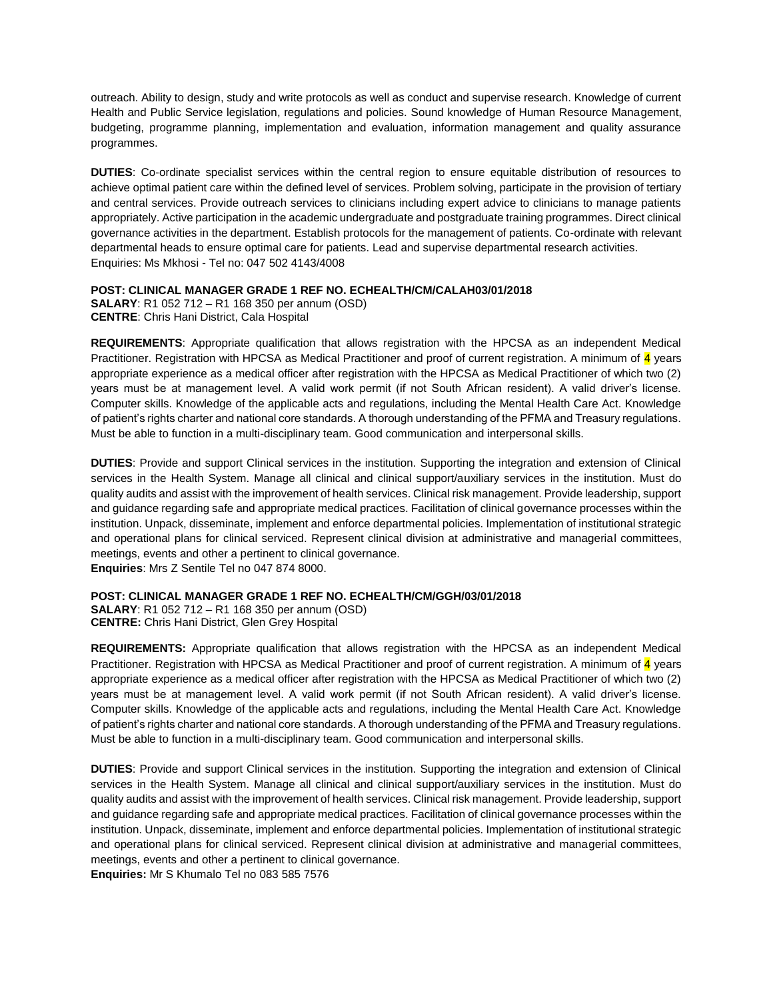outreach. Ability to design, study and write protocols as well as conduct and supervise research. Knowledge of current Health and Public Service legislation, regulations and policies. Sound knowledge of Human Resource Management, budgeting, programme planning, implementation and evaluation, information management and quality assurance programmes.

**DUTIES**: Co-ordinate specialist services within the central region to ensure equitable distribution of resources to achieve optimal patient care within the defined level of services. Problem solving, participate in the provision of tertiary and central services. Provide outreach services to clinicians including expert advice to clinicians to manage patients appropriately. Active participation in the academic undergraduate and postgraduate training programmes. Direct clinical governance activities in the department. Establish protocols for the management of patients. Co-ordinate with relevant departmental heads to ensure optimal care for patients. Lead and supervise departmental research activities. Enquiries: Ms Mkhosi - Tel no: 047 502 4143/4008

#### **POST: CLINICAL MANAGER GRADE 1 REF NO. ECHEALTH/CM/CALAH03/01/2018**

**SALARY**: R1 052 712 – R1 168 350 per annum (OSD) **CENTRE**: Chris Hani District, Cala Hospital

**REQUIREMENTS**: Appropriate qualification that allows registration with the HPCSA as an independent Medical Practitioner. Registration with HPCSA as Medical Practitioner and proof of current registration. A minimum of 4 years appropriate experience as a medical officer after registration with the HPCSA as Medical Practitioner of which two (2) years must be at management level. A valid work permit (if not South African resident). A valid driver's license. Computer skills. Knowledge of the applicable acts and regulations, including the Mental Health Care Act. Knowledge of patient's rights charter and national core standards. A thorough understanding of the PFMA and Treasury regulations. Must be able to function in a multi-disciplinary team. Good communication and interpersonal skills.

**DUTIES**: Provide and support Clinical services in the institution. Supporting the integration and extension of Clinical services in the Health System. Manage all clinical and clinical support/auxiliary services in the institution. Must do quality audits and assist with the improvement of health services. Clinical risk management. Provide leadership, support and guidance regarding safe and appropriate medical practices. Facilitation of clinical governance processes within the institution. Unpack, disseminate, implement and enforce departmental policies. Implementation of institutional strategic and operational plans for clinical serviced. Represent clinical division at administrative and managerial committees, meetings, events and other a pertinent to clinical governance.

**Enquiries**: Mrs Z Sentile Tel no 047 874 8000.

## **POST: CLINICAL MANAGER GRADE 1 REF NO. ECHEALTH/CM/GGH/03/01/2018**

**SALARY**: R1 052 712 – R1 168 350 per annum (OSD) **CENTRE:** Chris Hani District, Glen Grey Hospital

**REQUIREMENTS:** Appropriate qualification that allows registration with the HPCSA as an independent Medical Practitioner. Registration with HPCSA as Medical Practitioner and proof of current registration. A minimum of 4 years appropriate experience as a medical officer after registration with the HPCSA as Medical Practitioner of which two (2) years must be at management level. A valid work permit (if not South African resident). A valid driver's license. Computer skills. Knowledge of the applicable acts and regulations, including the Mental Health Care Act. Knowledge of patient's rights charter and national core standards. A thorough understanding of the PFMA and Treasury regulations. Must be able to function in a multi-disciplinary team. Good communication and interpersonal skills.

**DUTIES**: Provide and support Clinical services in the institution. Supporting the integration and extension of Clinical services in the Health System. Manage all clinical and clinical support/auxiliary services in the institution. Must do quality audits and assist with the improvement of health services. Clinical risk management. Provide leadership, support and guidance regarding safe and appropriate medical practices. Facilitation of clinical governance processes within the institution. Unpack, disseminate, implement and enforce departmental policies. Implementation of institutional strategic and operational plans for clinical serviced. Represent clinical division at administrative and managerial committees, meetings, events and other a pertinent to clinical governance.

**Enquiries:** Mr S Khumalo Tel no 083 585 7576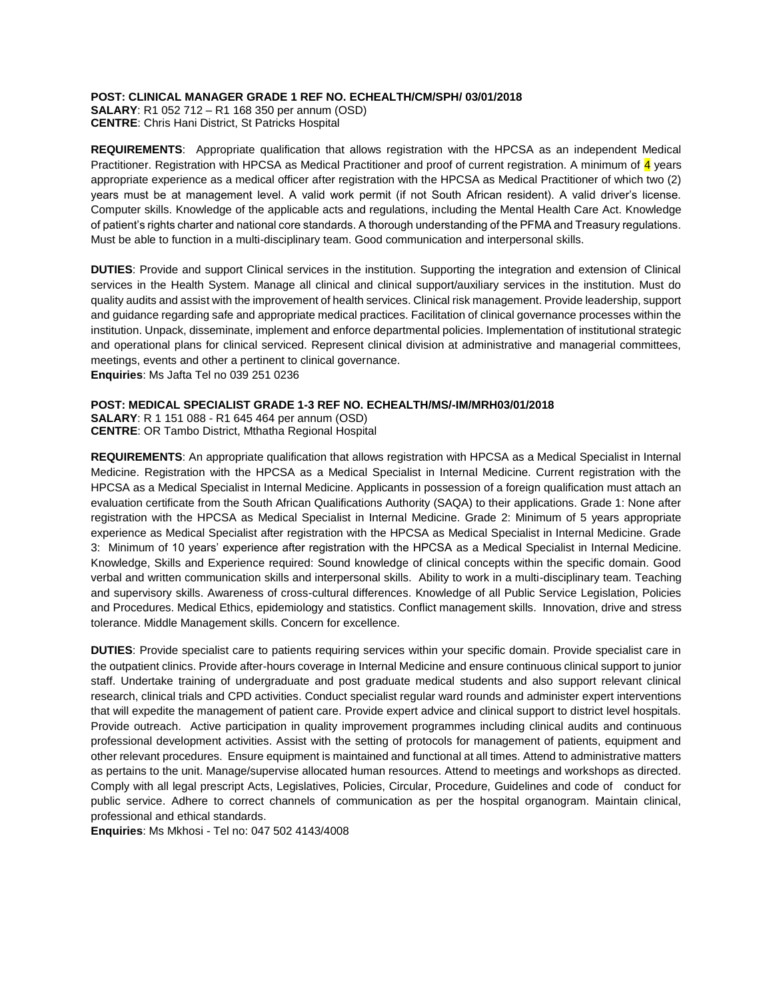### **POST: CLINICAL MANAGER GRADE 1 REF NO. ECHEALTH/CM/SPH/ 03/01/2018**

**SALARY**: R1 052 712 – R1 168 350 per annum (OSD) **CENTRE**: Chris Hani District, St Patricks Hospital

**REQUIREMENTS**: Appropriate qualification that allows registration with the HPCSA as an independent Medical Practitioner. Registration with HPCSA as Medical Practitioner and proof of current registration. A minimum of 4 years appropriate experience as a medical officer after registration with the HPCSA as Medical Practitioner of which two (2) years must be at management level. A valid work permit (if not South African resident). A valid driver's license. Computer skills. Knowledge of the applicable acts and regulations, including the Mental Health Care Act. Knowledge of patient's rights charter and national core standards. A thorough understanding of the PFMA and Treasury regulations. Must be able to function in a multi-disciplinary team. Good communication and interpersonal skills.

**DUTIES**: Provide and support Clinical services in the institution. Supporting the integration and extension of Clinical services in the Health System. Manage all clinical and clinical support/auxiliary services in the institution. Must do quality audits and assist with the improvement of health services. Clinical risk management. Provide leadership, support and guidance regarding safe and appropriate medical practices. Facilitation of clinical governance processes within the institution. Unpack, disseminate, implement and enforce departmental policies. Implementation of institutional strategic and operational plans for clinical serviced. Represent clinical division at administrative and managerial committees, meetings, events and other a pertinent to clinical governance. **Enquiries**: Ms Jafta Tel no [039](Tel:039) 251 0236

**POST: MEDICAL SPECIALIST GRADE 1-3 REF NO. ECHEALTH/MS/-IM/MRH03/01/2018**

**SALARY**: R 1 151 088 - R1 645 464 per annum (OSD) **CENTRE**: OR Tambo District, Mthatha Regional Hospital

**REQUIREMENTS**: An appropriate qualification that allows registration with HPCSA as a Medical Specialist in Internal Medicine. Registration with the HPCSA as a Medical Specialist in Internal Medicine. Current registration with the HPCSA as a Medical Specialist in Internal Medicine. Applicants in possession of a foreign qualification must attach an evaluation certificate from the South African Qualifications Authority (SAQA) to their applications. Grade 1: None after registration with the HPCSA as Medical Specialist in Internal Medicine. Grade 2: Minimum of 5 years appropriate experience as Medical Specialist after registration with the HPCSA as Medical Specialist in Internal Medicine. Grade 3: Minimum of 10 years' experience after registration with the HPCSA as a Medical Specialist in Internal Medicine. Knowledge, Skills and Experience required: Sound knowledge of clinical concepts within the specific domain. Good verbal and written communication skills and interpersonal skills. Ability to work in a multi-disciplinary team. Teaching and supervisory skills. Awareness of cross-cultural differences. Knowledge of all Public Service Legislation, Policies and Procedures. Medical Ethics, epidemiology and statistics. Conflict management skills. Innovation, drive and stress tolerance. Middle Management skills. Concern for excellence.

**DUTIES**: Provide specialist care to patients requiring services within your specific domain. Provide specialist care in the outpatient clinics. Provide after-hours coverage in Internal Medicine and ensure continuous clinical support to junior staff. Undertake training of undergraduate and post graduate medical students and also support relevant clinical research, clinical trials and CPD activities. Conduct specialist regular ward rounds and administer expert interventions that will expedite the management of patient care. Provide expert advice and clinical support to district level hospitals. Provide outreach. Active participation in quality improvement programmes including clinical audits and continuous professional development activities. Assist with the setting of protocols for management of patients, equipment and other relevant procedures. Ensure equipment is maintained and functional at all times. Attend to administrative matters as pertains to the unit. Manage/supervise allocated human resources. Attend to meetings and workshops as directed. Comply with all legal prescript Acts, Legislatives, Policies, Circular, Procedure, Guidelines and code of conduct for public service. Adhere to correct channels of communication as per the hospital organogram. Maintain clinical, professional and ethical standards.

**Enquiries**: Ms Mkhosi - Tel no: 047 502 4143/4008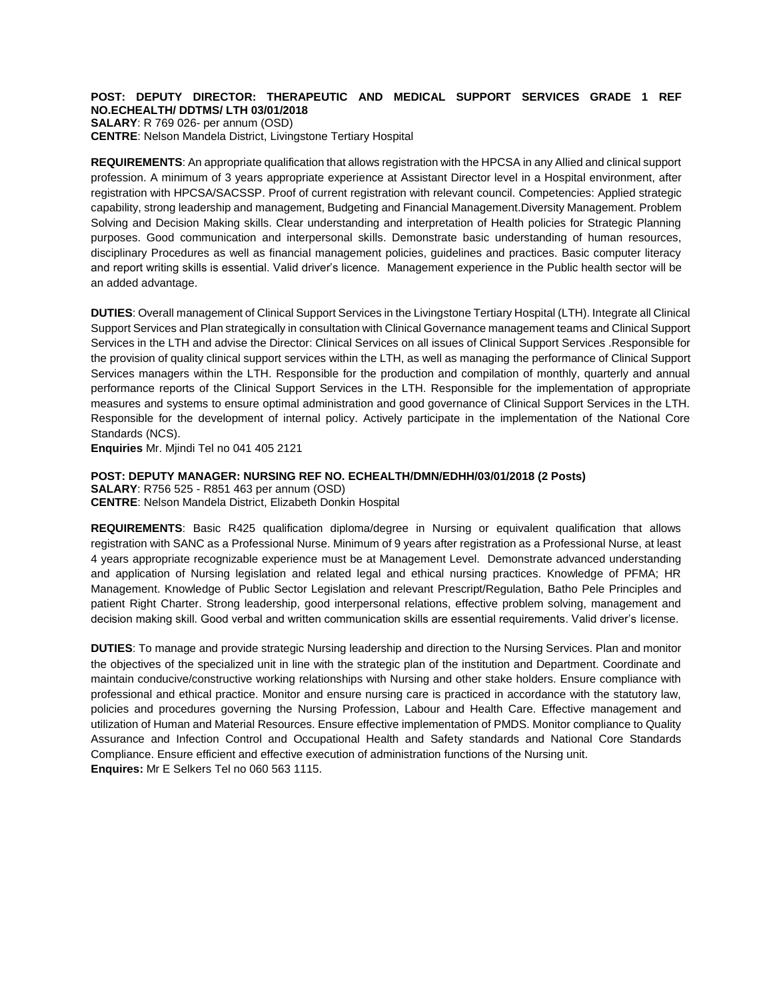#### **POST: DEPUTY DIRECTOR: THERAPEUTIC AND MEDICAL SUPPORT SERVICES GRADE 1 REF NO.ECHEALTH/ DDTMS/ LTH 03/01/2018 SALARY**: R 769 026- per annum (OSD)

**CENTRE**: Nelson Mandela District, Livingstone Tertiary Hospital

**REQUIREMENTS**: An appropriate qualification that allows registration with the HPCSA in any Allied and clinical support profession. A minimum of 3 years appropriate experience at Assistant Director level in a Hospital environment, after registration with HPCSA/SACSSP. Proof of current registration with relevant council. Competencies: Applied strategic capability, strong leadership and management, Budgeting and Financial Management.Diversity Management. Problem Solving and Decision Making skills. Clear understanding and interpretation of Health policies for Strategic Planning purposes. Good communication and interpersonal skills. Demonstrate basic understanding of human resources, disciplinary Procedures as well as financial management policies, guidelines and practices. Basic computer literacy and report writing skills is essential. Valid driver's licence. Management experience in the Public health sector will be an added advantage.

**DUTIES**: Overall management of Clinical Support Services in the Livingstone Tertiary Hospital (LTH). Integrate all Clinical Support Services and Plan strategically in consultation with Clinical Governance management teams and Clinical Support Services in the LTH and advise the Director: Clinical Services on all issues of Clinical Support Services .Responsible for the provision of quality clinical support services within the LTH, as well as managing the performance of Clinical Support Services managers within the LTH. Responsible for the production and compilation of monthly, quarterly and annual performance reports of the Clinical Support Services in the LTH. Responsible for the implementation of appropriate measures and systems to ensure optimal administration and good governance of Clinical Support Services in the LTH. Responsible for the development of internal policy. Actively participate in the implementation of the National Core Standards (NCS).

**Enquiries** Mr. Mjindi Tel no 041 405 2121

# **POST: DEPUTY MANAGER: NURSING REF NO. ECHEALTH/DMN/EDHH/03/01/2018 (2 Posts)**

**SALARY**: R756 525 - R851 463 per annum (OSD) **CENTRE**: Nelson Mandela District, Elizabeth Donkin Hospital

**REQUIREMENTS**: Basic R425 qualification diploma/degree in Nursing or equivalent qualification that allows registration with SANC as a Professional Nurse. Minimum of 9 years after registration as a Professional Nurse, at least 4 years appropriate recognizable experience must be at Management Level. Demonstrate advanced understanding and application of Nursing legislation and related legal and ethical nursing practices. Knowledge of PFMA; HR Management. Knowledge of Public Sector Legislation and relevant Prescript/Regulation, Batho Pele Principles and patient Right Charter. Strong leadership, good interpersonal relations, effective problem solving, management and decision making skill. Good verbal and written communication skills are essential requirements. Valid driver's license.

**DUTIES**: To manage and provide strategic Nursing leadership and direction to the Nursing Services. Plan and monitor the objectives of the specialized unit in line with the strategic plan of the institution and Department. Coordinate and maintain conducive/constructive working relationships with Nursing and other stake holders. Ensure compliance with professional and ethical practice. Monitor and ensure nursing care is practiced in accordance with the statutory law, policies and procedures governing the Nursing Profession, Labour and Health Care. Effective management and utilization of Human and Material Resources. Ensure effective implementation of PMDS. Monitor compliance to Quality Assurance and Infection Control and Occupational Health and Safety standards and National Core Standards Compliance. Ensure efficient and effective execution of administration functions of the Nursing unit. **Enquires:** Mr E Selkers Tel no 060 563 1115.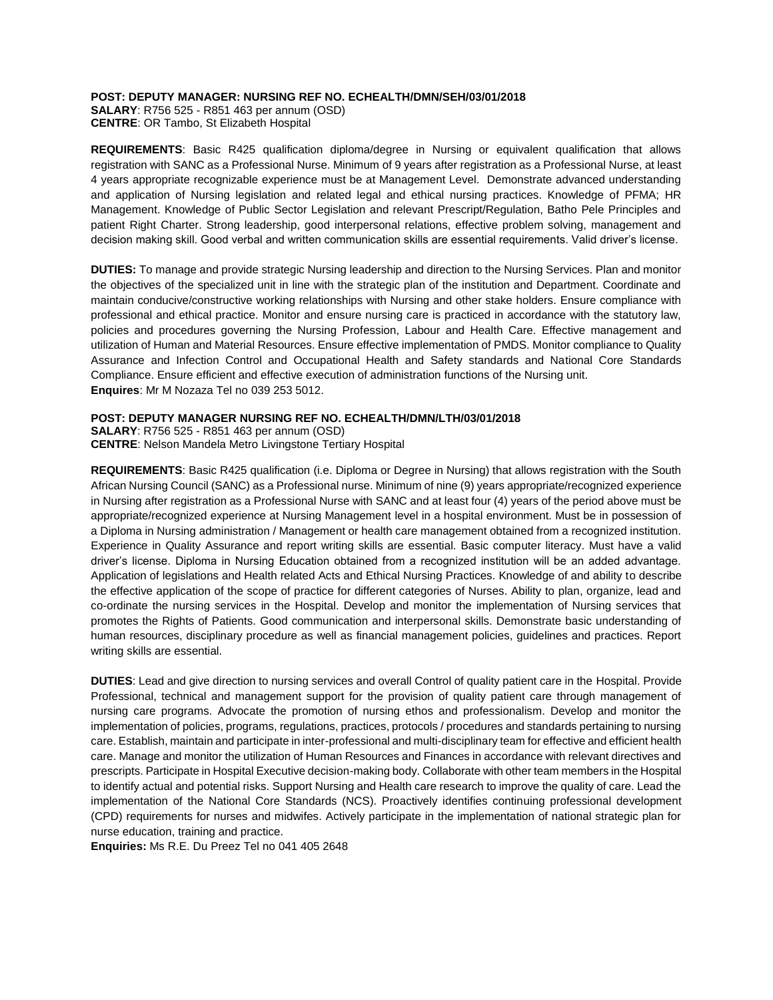#### **POST: DEPUTY MANAGER: NURSING REF NO. ECHEALTH/DMN/SEH/03/01/2018**

**SALARY**: R756 525 - R851 463 per annum (OSD) **CENTRE**: OR Tambo, St Elizabeth Hospital

**REQUIREMENTS**: Basic R425 qualification diploma/degree in Nursing or equivalent qualification that allows registration with SANC as a Professional Nurse. Minimum of 9 years after registration as a Professional Nurse, at least 4 years appropriate recognizable experience must be at Management Level. Demonstrate advanced understanding and application of Nursing legislation and related legal and ethical nursing practices. Knowledge of PFMA; HR Management. Knowledge of Public Sector Legislation and relevant Prescript/Regulation, Batho Pele Principles and patient Right Charter. Strong leadership, good interpersonal relations, effective problem solving, management and decision making skill. Good verbal and written communication skills are essential requirements. Valid driver's license.

**DUTIES:** To manage and provide strategic Nursing leadership and direction to the Nursing Services. Plan and monitor the objectives of the specialized unit in line with the strategic plan of the institution and Department. Coordinate and maintain conducive/constructive working relationships with Nursing and other stake holders. Ensure compliance with professional and ethical practice. Monitor and ensure nursing care is practiced in accordance with the statutory law, policies and procedures governing the Nursing Profession, Labour and Health Care. Effective management and utilization of Human and Material Resources. Ensure effective implementation of PMDS. Monitor compliance to Quality Assurance and Infection Control and Occupational Health and Safety standards and National Core Standards Compliance. Ensure efficient and effective execution of administration functions of the Nursing unit. **Enquires**: Mr M Nozaza Tel no 039 253 5012.

## **POST: DEPUTY MANAGER NURSING REF NO. ECHEALTH/DMN/LTH/03/01/2018**

**SALARY**: R756 525 - R851 463 per annum (OSD) **CENTRE**: Nelson Mandela Metro Livingstone Tertiary Hospital

**REQUIREMENTS**: Basic R425 qualification (i.e. Diploma or Degree in Nursing) that allows registration with the South African Nursing Council (SANC) as a Professional nurse. Minimum of nine (9) years appropriate/recognized experience in Nursing after registration as a Professional Nurse with SANC and at least four (4) years of the period above must be appropriate/recognized experience at Nursing Management level in a hospital environment. Must be in possession of a Diploma in Nursing administration / Management or health care management obtained from a recognized institution. Experience in Quality Assurance and report writing skills are essential. Basic computer literacy. Must have a valid driver's license. Diploma in Nursing Education obtained from a recognized institution will be an added advantage. Application of legislations and Health related Acts and Ethical Nursing Practices. Knowledge of and ability to describe the effective application of the scope of practice for different categories of Nurses. Ability to plan, organize, lead and co-ordinate the nursing services in the Hospital. Develop and monitor the implementation of Nursing services that promotes the Rights of Patients. Good communication and interpersonal skills. Demonstrate basic understanding of human resources, disciplinary procedure as well as financial management policies, guidelines and practices. Report writing skills are essential.

**DUTIES**: Lead and give direction to nursing services and overall Control of quality patient care in the Hospital. Provide Professional, technical and management support for the provision of quality patient care through management of nursing care programs. Advocate the promotion of nursing ethos and professionalism. Develop and monitor the implementation of policies, programs, regulations, practices, protocols / procedures and standards pertaining to nursing care. Establish, maintain and participate in inter-professional and multi-disciplinary team for effective and efficient health care. Manage and monitor the utilization of Human Resources and Finances in accordance with relevant directives and prescripts. Participate in Hospital Executive decision-making body. Collaborate with other team members in the Hospital to identify actual and potential risks. Support Nursing and Health care research to improve the quality of care. Lead the implementation of the National Core Standards (NCS). Proactively identifies continuing professional development (CPD) requirements for nurses and midwifes. Actively participate in the implementation of national strategic plan for nurse education, training and practice.

**Enquiries:** Ms R.E. Du Preez Tel no 041 405 2648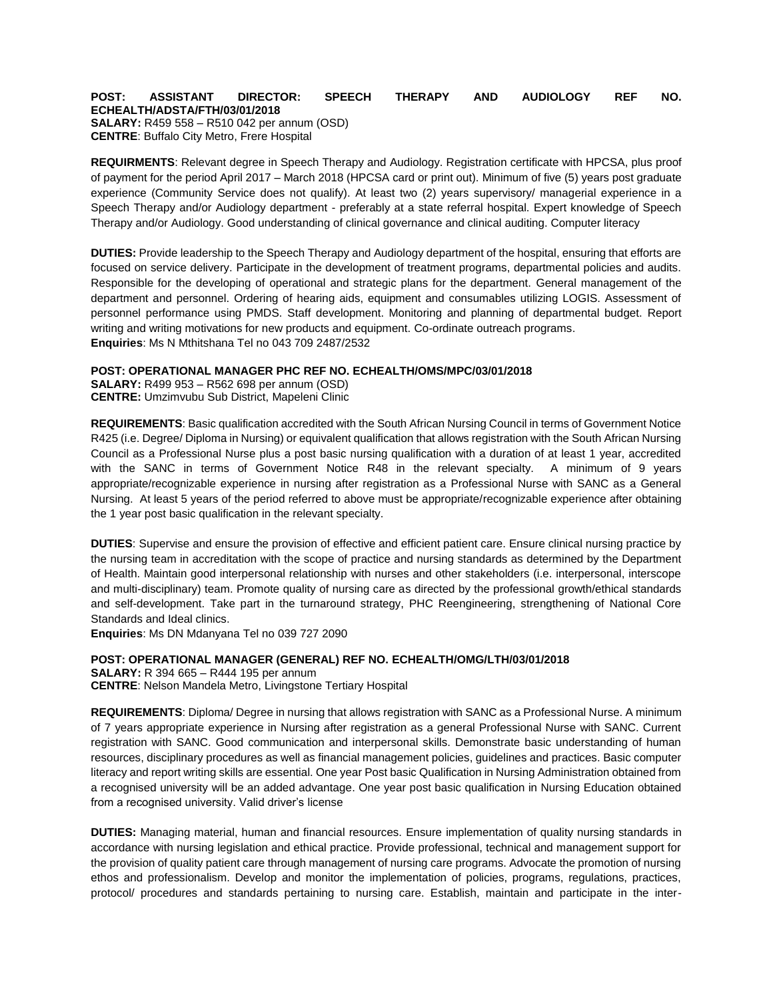#### **POST: ASSISTANT DIRECTOR: SPEECH THERAPY AND AUDIOLOGY REF NO. ECHEALTH/ADSTA/FTH/03/01/2018 SALARY:** R459 558 – R510 042 per annum (OSD) **CENTRE**: Buffalo City Metro, Frere Hospital

**REQUIRMENTS**: Relevant degree in Speech Therapy and Audiology. Registration certificate with HPCSA, plus proof of payment for the period April 2017 – March 2018 (HPCSA card or print out). Minimum of five (5) years post graduate experience (Community Service does not qualify). At least two (2) years supervisory/ managerial experience in a Speech Therapy and/or Audiology department - preferably at a state referral hospital. Expert knowledge of Speech Therapy and/or Audiology. Good understanding of clinical governance and clinical auditing. Computer literacy

**DUTIES:** Provide leadership to the Speech Therapy and Audiology department of the hospital, ensuring that efforts are focused on service delivery. Participate in the development of treatment programs, departmental policies and audits. Responsible for the developing of operational and strategic plans for the department. General management of the department and personnel. Ordering of hearing aids, equipment and consumables utilizing LOGIS. Assessment of personnel performance using PMDS. Staff development. Monitoring and planning of departmental budget. Report writing and writing motivations for new products and equipment. Co-ordinate outreach programs. **Enquiries**: Ms N Mthitshana Tel no 043 709 2487/2532

## **POST: OPERATIONAL MANAGER PHC REF NO. ECHEALTH/OMS/MPC/03/01/2018**

**SALARY:** R499 953 – R562 698 per annum (OSD) **CENTRE:** Umzimvubu Sub District, Mapeleni Clinic

**REQUIREMENTS**: Basic qualification accredited with the South African Nursing Council in terms of Government Notice R425 (i.e. Degree/ Diploma in Nursing) or equivalent qualification that allows registration with the South African Nursing Council as a Professional Nurse plus a post basic nursing qualification with a duration of at least 1 year, accredited with the SANC in terms of Government Notice R48 in the relevant specialty. A minimum of 9 years appropriate/recognizable experience in nursing after registration as a Professional Nurse with SANC as a General Nursing. At least 5 years of the period referred to above must be appropriate/recognizable experience after obtaining the 1 year post basic qualification in the relevant specialty.

**DUTIES**: Supervise and ensure the provision of effective and efficient patient care. Ensure clinical nursing practice by the nursing team in accreditation with the scope of practice and nursing standards as determined by the Department of Health. Maintain good interpersonal relationship with nurses and other stakeholders (i.e. interpersonal, interscope and multi-disciplinary) team. Promote quality of nursing care as directed by the professional growth/ethical standards and self-development. Take part in the turnaround strategy, PHC Reengineering, strengthening of National Core Standards and Ideal clinics.

**Enquiries**: Ms DN Mdanyana Tel no 039 727 2090

**POST: OPERATIONAL MANAGER (GENERAL) REF NO. ECHEALTH/OMG/LTH/03/01/2018 SALARY:** R 394 665 – R444 195 per annum **CENTRE**: Nelson Mandela Metro, Livingstone Tertiary Hospital

**REQUIREMENTS**: Diploma/ Degree in nursing that allows registration with SANC as a Professional Nurse. A minimum of 7 years appropriate experience in Nursing after registration as a general Professional Nurse with SANC. Current registration with SANC. Good communication and interpersonal skills. Demonstrate basic understanding of human resources, disciplinary procedures as well as financial management policies, guidelines and practices. Basic computer literacy and report writing skills are essential. One year Post basic Qualification in Nursing Administration obtained from a recognised university will be an added advantage. One year post basic qualification in Nursing Education obtained from a recognised university. Valid driver's license

**DUTIES:** Managing material, human and financial resources. Ensure implementation of quality nursing standards in accordance with nursing legislation and ethical practice. Provide professional, technical and management support for the provision of quality patient care through management of nursing care programs. Advocate the promotion of nursing ethos and professionalism. Develop and monitor the implementation of policies, programs, regulations, practices, protocol/ procedures and standards pertaining to nursing care. Establish, maintain and participate in the inter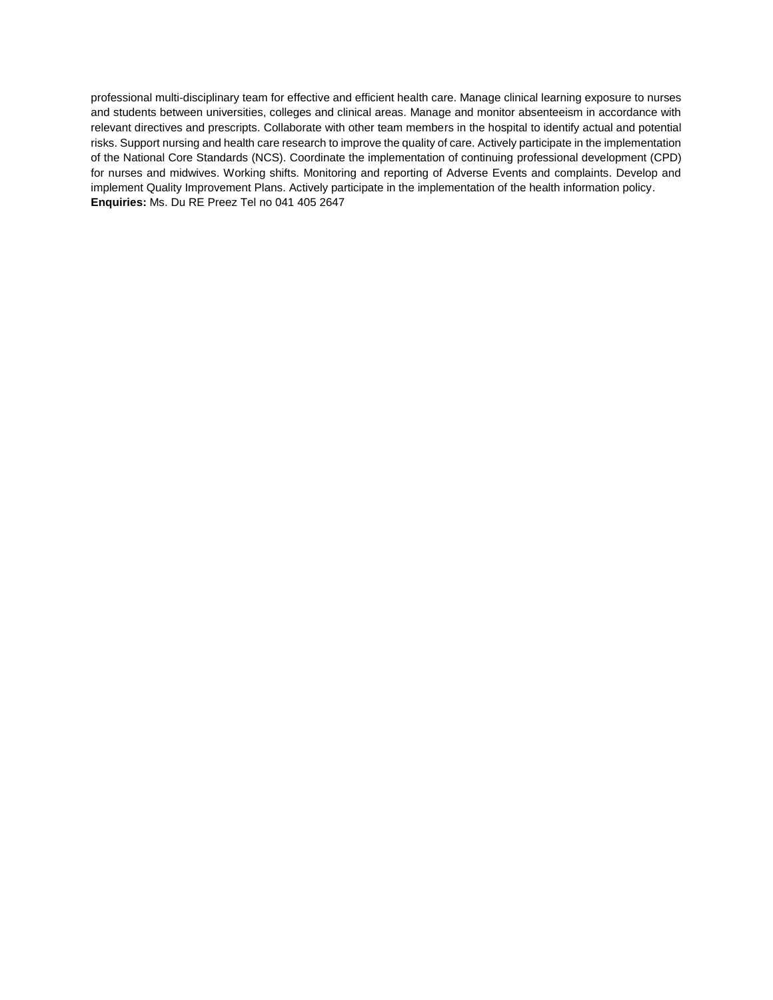professional multi-disciplinary team for effective and efficient health care. Manage clinical learning exposure to nurses and students between universities, colleges and clinical areas. Manage and monitor absenteeism in accordance with relevant directives and prescripts. Collaborate with other team members in the hospital to identify actual and potential risks. Support nursing and health care research to improve the quality of care. Actively participate in the implementation of the National Core Standards (NCS). Coordinate the implementation of continuing professional development (CPD) for nurses and midwives. Working shifts. Monitoring and reporting of Adverse Events and complaints. Develop and implement Quality Improvement Plans. Actively participate in the implementation of the health information policy. **Enquiries:** Ms. Du RE Preez Tel no 041 405 2647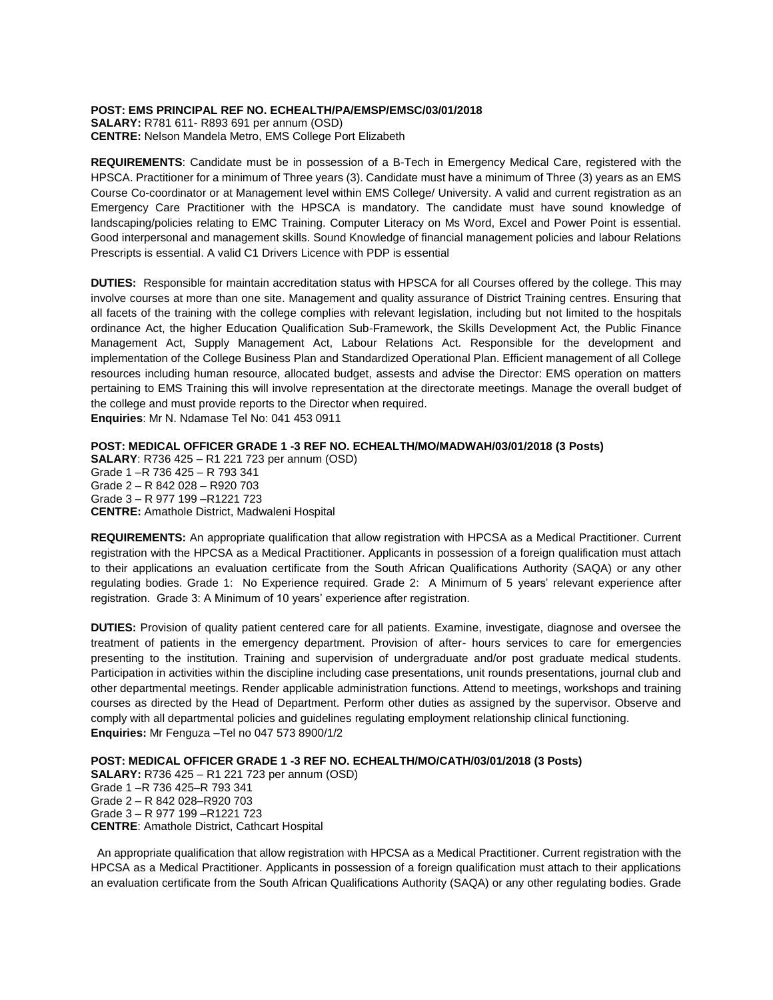#### **POST: EMS PRINCIPAL REF NO. ECHEALTH/PA/EMSP/EMSC/03/01/2018**

**SALARY:** R781 611- R893 691 per annum (OSD) **CENTRE:** Nelson Mandela Metro, EMS College Port Elizabeth

**REQUIREMENTS**: Candidate must be in possession of a B-Tech in Emergency Medical Care, registered with the HPSCA. Practitioner for a minimum of Three years (3). Candidate must have a minimum of Three (3) years as an EMS Course Co-coordinator or at Management level within EMS College/ University. A valid and current registration as an Emergency Care Practitioner with the HPSCA is mandatory. The candidate must have sound knowledge of landscaping/policies relating to EMC Training. Computer Literacy on Ms Word, Excel and Power Point is essential. Good interpersonal and management skills. Sound Knowledge of financial management policies and labour Relations Prescripts is essential. A valid C1 Drivers Licence with PDP is essential

**DUTIES:** Responsible for maintain accreditation status with HPSCA for all Courses offered by the college. This may involve courses at more than one site. Management and quality assurance of District Training centres. Ensuring that all facets of the training with the college complies with relevant legislation, including but not limited to the hospitals ordinance Act, the higher Education Qualification Sub-Framework, the Skills Development Act, the Public Finance Management Act, Supply Management Act, Labour Relations Act. Responsible for the development and implementation of the College Business Plan and Standardized Operational Plan. Efficient management of all College resources including human resource, allocated budget, assests and advise the Director: EMS operation on matters pertaining to EMS Training this will involve representation at the directorate meetings. Manage the overall budget of the college and must provide reports to the Director when required.

**Enquiries**: Mr N. Ndamase Tel No: 041 453 0911

# **POST: MEDICAL OFFICER GRADE 1 -3 REF NO. ECHEALTH/MO/MADWAH/03/01/2018 (3 Posts)**

**SALARY**: R736 425 – R1 221 723 per annum (OSD) Grade 1 –R 736 425 – R 793 341 Grade 2 – R 842 028 – R920 703 Grade 3 – R 977 199 –R1221 723 **CENTRE:** Amathole District, Madwaleni Hospital

**REQUIREMENTS:** An appropriate qualification that allow registration with HPCSA as a Medical Practitioner. Current registration with the HPCSA as a Medical Practitioner. Applicants in possession of a foreign qualification must attach to their applications an evaluation certificate from the South African Qualifications Authority (SAQA) or any other regulating bodies. Grade 1: No Experience required. Grade 2: A Minimum of 5 years' relevant experience after registration. Grade 3: A Minimum of 10 years' experience after registration.

**DUTIES:** Provision of quality patient centered care for all patients. Examine, investigate, diagnose and oversee the treatment of patients in the emergency department. Provision of after- hours services to care for emergencies presenting to the institution. Training and supervision of undergraduate and/or post graduate medical students. Participation in activities within the discipline including case presentations, unit rounds presentations, journal club and other departmental meetings. Render applicable administration functions. Attend to meetings, workshops and training courses as directed by the Head of Department. Perform other duties as assigned by the supervisor. Observe and comply with all departmental policies and guidelines regulating employment relationship clinical functioning. **Enquiries:** Mr Fenguza –Tel no 047 573 8900/1/2

## **POST: MEDICAL OFFICER GRADE 1 -3 REF NO. ECHEALTH/MO/CATH/03/01/2018 (3 Posts)**

**SALARY:** R736 425 – R1 221 723 per annum (OSD) Grade 1 –R 736 425–R 793 341 Grade 2 – R 842 028–R920 703 Grade 3 – R 977 199 –R1221 723 **CENTRE**: Amathole District, Cathcart Hospital

An appropriate qualification that allow registration with HPCSA as a Medical Practitioner. Current registration with the HPCSA as a Medical Practitioner. Applicants in possession of a foreign qualification must attach to their applications an evaluation certificate from the South African Qualifications Authority (SAQA) or any other regulating bodies. Grade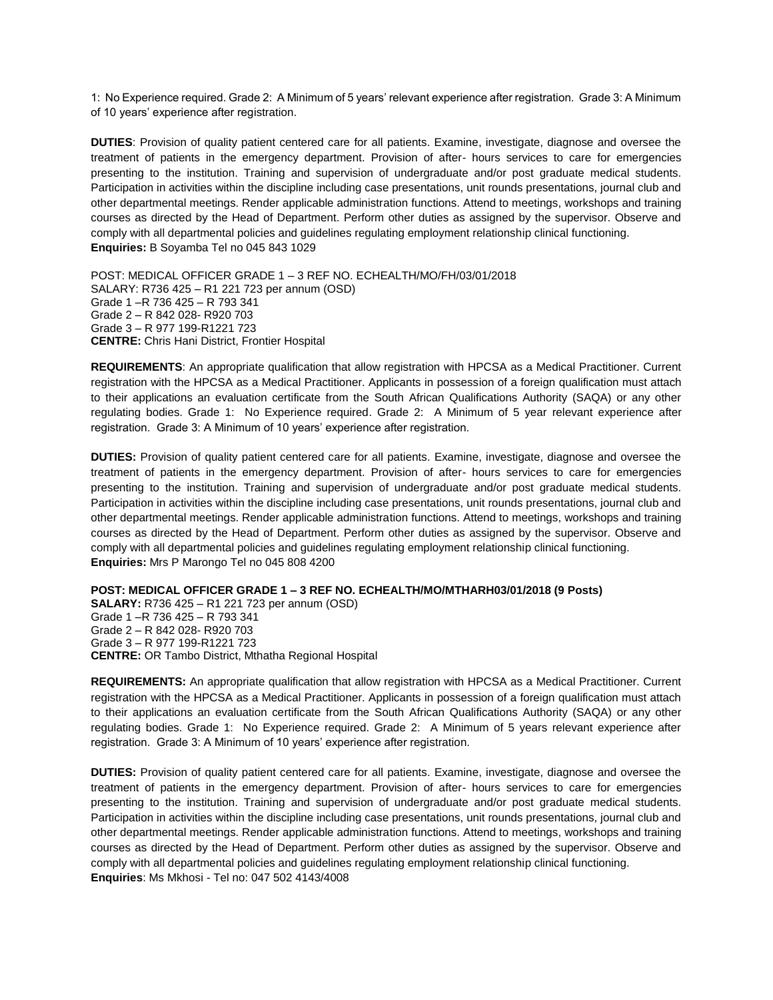1: No Experience required. Grade 2: A Minimum of 5 years' relevant experience after registration. Grade 3: A Minimum of 10 years' experience after registration.

**DUTIES**: Provision of quality patient centered care for all patients. Examine, investigate, diagnose and oversee the treatment of patients in the emergency department. Provision of after- hours services to care for emergencies presenting to the institution. Training and supervision of undergraduate and/or post graduate medical students. Participation in activities within the discipline including case presentations, unit rounds presentations, journal club and other departmental meetings. Render applicable administration functions. Attend to meetings, workshops and training courses as directed by the Head of Department. Perform other duties as assigned by the supervisor. Observe and comply with all departmental policies and guidelines regulating employment relationship clinical functioning. **Enquiries:** B Soyamba Tel no 045 843 1029

POST: MEDICAL OFFICER GRADE 1 – 3 REF NO. ECHEALTH/MO/FH/03/01/2018 SALARY: R736 425 – R1 221 723 per annum (OSD) Grade 1 –R 736 425 – R 793 341 Grade 2 – R 842 028- R920 703 Grade 3 – R 977 199-R1221 723 **CENTRE:** Chris Hani District, Frontier Hospital

**REQUIREMENTS**: An appropriate qualification that allow registration with HPCSA as a Medical Practitioner. Current registration with the HPCSA as a Medical Practitioner. Applicants in possession of a foreign qualification must attach to their applications an evaluation certificate from the South African Qualifications Authority (SAQA) or any other regulating bodies. Grade 1: No Experience required. Grade 2: A Minimum of 5 year relevant experience after registration. Grade 3: A Minimum of 10 years' experience after registration.

**DUTIES:** Provision of quality patient centered care for all patients. Examine, investigate, diagnose and oversee the treatment of patients in the emergency department. Provision of after- hours services to care for emergencies presenting to the institution. Training and supervision of undergraduate and/or post graduate medical students. Participation in activities within the discipline including case presentations, unit rounds presentations, journal club and other departmental meetings. Render applicable administration functions. Attend to meetings, workshops and training courses as directed by the Head of Department. Perform other duties as assigned by the supervisor. Observe and comply with all departmental policies and guidelines regulating employment relationship clinical functioning. **Enquiries:** Mrs P Marongo Tel no 045 808 4200

**POST: MEDICAL OFFICER GRADE 1 – 3 REF NO. ECHEALTH/MO/MTHARH03/01/2018 (9 Posts)**

**SALARY:** R736 425 – R1 221 723 per annum (OSD) Grade 1 –R 736 425 – R 793 341 Grade 2 – R 842 028- R920 703 Grade 3 – R 977 199-R1221 723 **CENTRE:** OR Tambo District, Mthatha Regional Hospital

**REQUIREMENTS:** An appropriate qualification that allow registration with HPCSA as a Medical Practitioner. Current registration with the HPCSA as a Medical Practitioner. Applicants in possession of a foreign qualification must attach to their applications an evaluation certificate from the South African Qualifications Authority (SAQA) or any other regulating bodies. Grade 1: No Experience required. Grade 2: A Minimum of 5 years relevant experience after registration. Grade 3: A Minimum of 10 years' experience after registration.

**DUTIES:** Provision of quality patient centered care for all patients. Examine, investigate, diagnose and oversee the treatment of patients in the emergency department. Provision of after- hours services to care for emergencies presenting to the institution. Training and supervision of undergraduate and/or post graduate medical students. Participation in activities within the discipline including case presentations, unit rounds presentations, journal club and other departmental meetings. Render applicable administration functions. Attend to meetings, workshops and training courses as directed by the Head of Department. Perform other duties as assigned by the supervisor. Observe and comply with all departmental policies and guidelines regulating employment relationship clinical functioning. **Enquiries**: Ms Mkhosi - Tel no: 047 502 4143/4008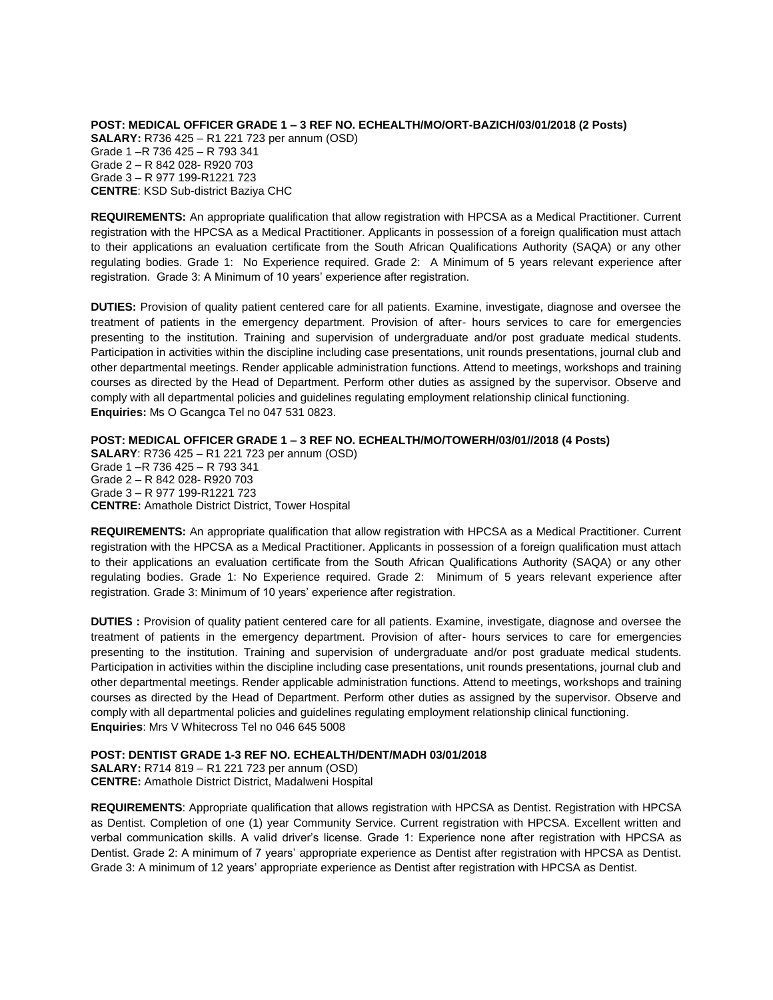**POST: MEDICAL OFFICER GRADE 1 – 3 REF NO. ECHEALTH/MO/ORT-BAZICH/03/01/2018 (2 Posts) SALARY:** R736 425 – R1 221 723 per annum (OSD) Grade 1 –R 736 425 – R 793 341 Grade 2 – R 842 028- R920 703 Grade 3 – R 977 199-R1221 723 **CENTRE**: KSD Sub-district Baziya CHC

**REQUIREMENTS:** An appropriate qualification that allow registration with HPCSA as a Medical Practitioner. Current registration with the HPCSA as a Medical Practitioner. Applicants in possession of a foreign qualification must attach to their applications an evaluation certificate from the South African Qualifications Authority (SAQA) or any other regulating bodies. Grade 1: No Experience required. Grade 2: A Minimum of 5 years relevant experience after registration. Grade 3: A Minimum of 10 years' experience after registration.

**DUTIES:** Provision of quality patient centered care for all patients. Examine, investigate, diagnose and oversee the treatment of patients in the emergency department. Provision of after- hours services to care for emergencies presenting to the institution. Training and supervision of undergraduate and/or post graduate medical students. Participation in activities within the discipline including case presentations, unit rounds presentations, journal club and other departmental meetings. Render applicable administration functions. Attend to meetings, workshops and training courses as directed by the Head of Department. Perform other duties as assigned by the supervisor. Observe and comply with all departmental policies and guidelines regulating employment relationship clinical functioning. **Enquiries:** Ms O Gcangca Tel no 047 531 0823.

**POST: MEDICAL OFFICER GRADE 1 – 3 REF NO. ECHEALTH/MO/TOWERH/03/01//2018 (4 Posts)**

**SALARY**: R736 425 – R1 221 723 per annum (OSD) Grade 1 –R 736 425 – R 793 341 Grade 2 – R 842 028- R920 703 Grade 3 – R 977 199-R1221 723 **CENTRE:** Amathole District District, Tower Hospital

**REQUIREMENTS:** An appropriate qualification that allow registration with HPCSA as a Medical Practitioner. Current registration with the HPCSA as a Medical Practitioner. Applicants in possession of a foreign qualification must attach to their applications an evaluation certificate from the South African Qualifications Authority (SAQA) or any other regulating bodies. Grade 1: No Experience required. Grade 2: Minimum of 5 years relevant experience after registration. Grade 3: Minimum of 10 years' experience after registration.

**DUTIES :** Provision of quality patient centered care for all patients. Examine, investigate, diagnose and oversee the treatment of patients in the emergency department. Provision of after- hours services to care for emergencies presenting to the institution. Training and supervision of undergraduate and/or post graduate medical students. Participation in activities within the discipline including case presentations, unit rounds presentations, journal club and other departmental meetings. Render applicable administration functions. Attend to meetings, workshops and training courses as directed by the Head of Department. Perform other duties as assigned by the supervisor. Observe and comply with all departmental policies and guidelines regulating employment relationship clinical functioning. **Enquiries**: Mrs V Whitecross Tel no 046 645 5008

**POST: DENTIST GRADE 1-3 REF NO. ECHEALTH/DENT/MADH 03/01/2018**

**SALARY:** R714 819 – R1 221 723 per annum (OSD) **CENTRE:** Amathole District District, Madalweni Hospital

**REQUIREMENTS**: Appropriate qualification that allows registration with HPCSA as Dentist. Registration with HPCSA as Dentist. Completion of one (1) year Community Service. Current registration with HPCSA. Excellent written and verbal communication skills. A valid driver's license. Grade 1: Experience none after registration with HPCSA as Dentist. Grade 2: A minimum of 7 years' appropriate experience as Dentist after registration with HPCSA as Dentist. Grade 3: A minimum of 12 years' appropriate experience as Dentist after registration with HPCSA as Dentist.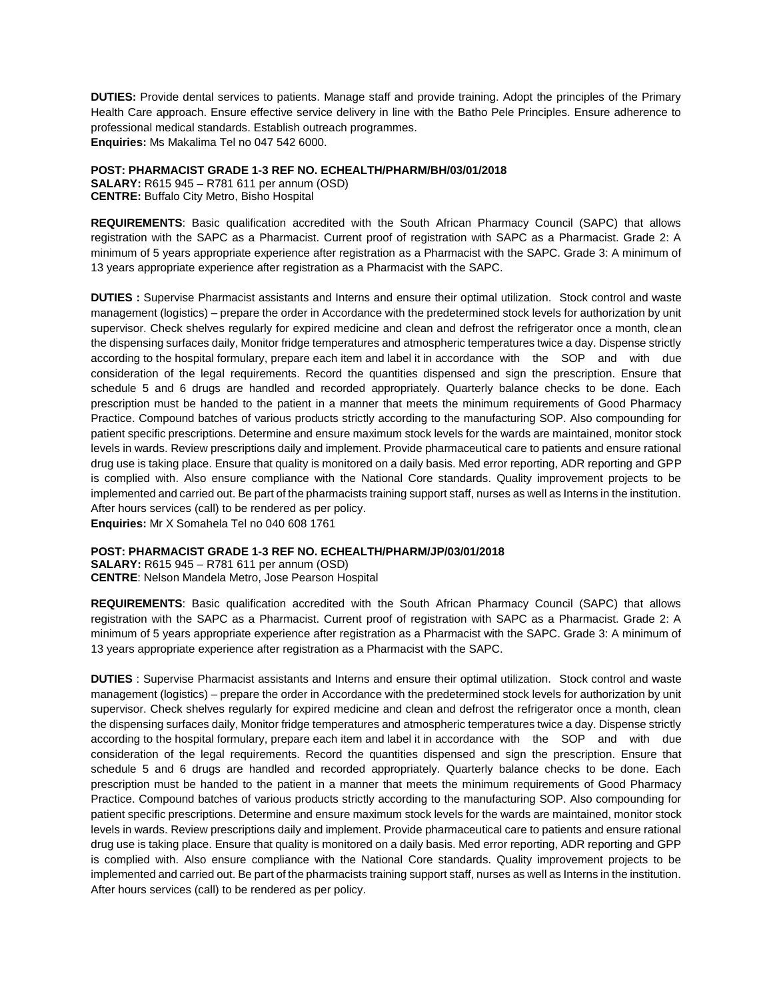**DUTIES:** Provide dental services to patients. Manage staff and provide training. Adopt the principles of the Primary Health Care approach. Ensure effective service delivery in line with the Batho Pele Principles. Ensure adherence to professional medical standards. Establish outreach programmes. **Enquiries:** Ms Makalima Tel no 047 542 6000.

**POST: PHARMACIST GRADE 1-3 REF NO. ECHEALTH/PHARM/BH/03/01/2018**

**SALARY:** R615 945 – R781 611 per annum (OSD) **CENTRE:** Buffalo City Metro, Bisho Hospital

**REQUIREMENTS**: Basic qualification accredited with the South African Pharmacy Council (SAPC) that allows registration with the SAPC as a Pharmacist. Current proof of registration with SAPC as a Pharmacist. Grade 2: A minimum of 5 years appropriate experience after registration as a Pharmacist with the SAPC. Grade 3: A minimum of 13 years appropriate experience after registration as a Pharmacist with the SAPC.

**DUTIES :** Supervise Pharmacist assistants and Interns and ensure their optimal utilization. Stock control and waste management (logistics) – prepare the order in Accordance with the predetermined stock levels for authorization by unit supervisor. Check shelves regularly for expired medicine and clean and defrost the refrigerator once a month, clean the dispensing surfaces daily, Monitor fridge temperatures and atmospheric temperatures twice a day. Dispense strictly according to the hospital formulary, prepare each item and label it in accordance with the SOP and with due consideration of the legal requirements. Record the quantities dispensed and sign the prescription. Ensure that schedule 5 and 6 drugs are handled and recorded appropriately. Quarterly balance checks to be done. Each prescription must be handed to the patient in a manner that meets the minimum requirements of Good Pharmacy Practice. Compound batches of various products strictly according to the manufacturing SOP. Also compounding for patient specific prescriptions. Determine and ensure maximum stock levels for the wards are maintained, monitor stock levels in wards. Review prescriptions daily and implement. Provide pharmaceutical care to patients and ensure rational drug use is taking place. Ensure that quality is monitored on a daily basis. Med error reporting, ADR reporting and GPP is complied with. Also ensure compliance with the National Core standards. Quality improvement projects to be implemented and carried out. Be part of the pharmacists training support staff, nurses as well as Interns in the institution. After hours services (call) to be rendered as per policy.

**Enquiries:** Mr X Somahela Tel no 040 608 1761

# **POST: PHARMACIST GRADE 1-3 REF NO. ECHEALTH/PHARM/JP/03/01/2018**

**SALARY:** R615 945 – R781 611 per annum (OSD) **CENTRE**: Nelson Mandela Metro, Jose Pearson Hospital

**REQUIREMENTS**: Basic qualification accredited with the South African Pharmacy Council (SAPC) that allows registration with the SAPC as a Pharmacist. Current proof of registration with SAPC as a Pharmacist. Grade 2: A minimum of 5 years appropriate experience after registration as a Pharmacist with the SAPC. Grade 3: A minimum of 13 years appropriate experience after registration as a Pharmacist with the SAPC.

**DUTIES** : Supervise Pharmacist assistants and Interns and ensure their optimal utilization. Stock control and waste management (logistics) – prepare the order in Accordance with the predetermined stock levels for authorization by unit supervisor. Check shelves regularly for expired medicine and clean and defrost the refrigerator once a month, clean the dispensing surfaces daily, Monitor fridge temperatures and atmospheric temperatures twice a day. Dispense strictly according to the hospital formulary, prepare each item and label it in accordance with the SOP and with due consideration of the legal requirements. Record the quantities dispensed and sign the prescription. Ensure that schedule 5 and 6 drugs are handled and recorded appropriately. Quarterly balance checks to be done. Each prescription must be handed to the patient in a manner that meets the minimum requirements of Good Pharmacy Practice. Compound batches of various products strictly according to the manufacturing SOP. Also compounding for patient specific prescriptions. Determine and ensure maximum stock levels for the wards are maintained, monitor stock levels in wards. Review prescriptions daily and implement. Provide pharmaceutical care to patients and ensure rational drug use is taking place. Ensure that quality is monitored on a daily basis. Med error reporting, ADR reporting and GPP is complied with. Also ensure compliance with the National Core standards. Quality improvement projects to be implemented and carried out. Be part of the pharmacists training support staff, nurses as well as Interns in the institution. After hours services (call) to be rendered as per policy.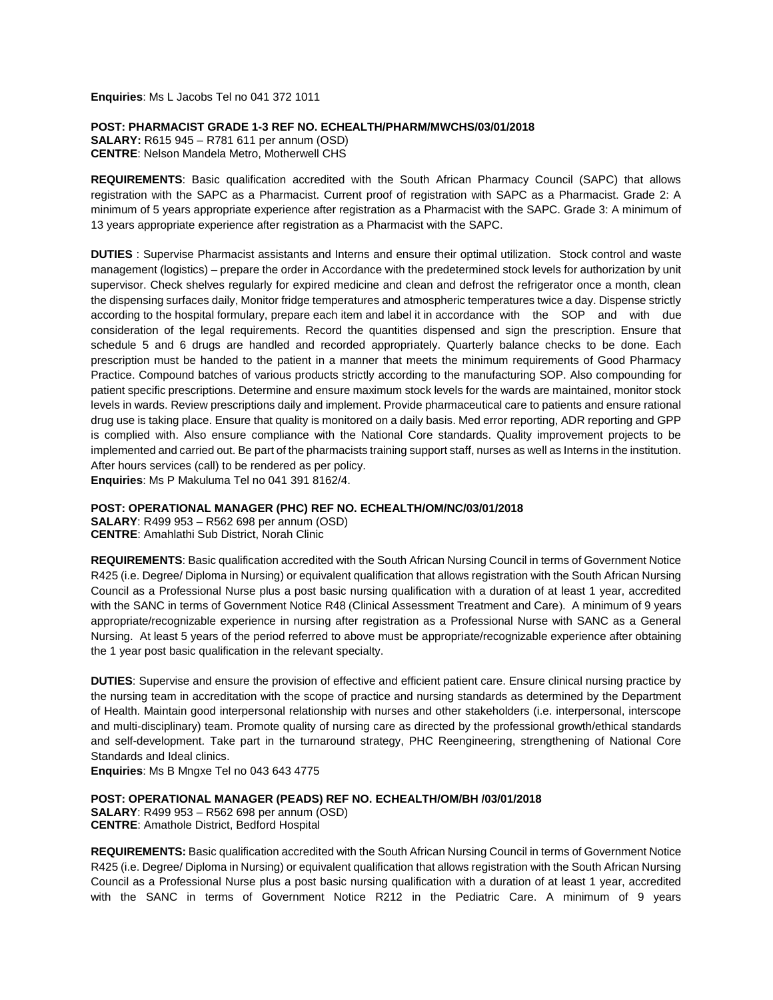**Enquiries**: Ms L Jacobs Tel no 041 372 1011

**POST: PHARMACIST GRADE 1-3 REF NO. ECHEALTH/PHARM/MWCHS/03/01/2018**

**SALARY:** R615 945 – R781 611 per annum (OSD) **CENTRE**: Nelson Mandela Metro, Motherwell CHS

**REQUIREMENTS**: Basic qualification accredited with the South African Pharmacy Council (SAPC) that allows registration with the SAPC as a Pharmacist. Current proof of registration with SAPC as a Pharmacist. Grade 2: A minimum of 5 years appropriate experience after registration as a Pharmacist with the SAPC. Grade 3: A minimum of 13 years appropriate experience after registration as a Pharmacist with the SAPC.

**DUTIES** : Supervise Pharmacist assistants and Interns and ensure their optimal utilization. Stock control and waste management (logistics) – prepare the order in Accordance with the predetermined stock levels for authorization by unit supervisor. Check shelves regularly for expired medicine and clean and defrost the refrigerator once a month, clean the dispensing surfaces daily, Monitor fridge temperatures and atmospheric temperatures twice a day. Dispense strictly according to the hospital formulary, prepare each item and label it in accordance with the SOP and with due consideration of the legal requirements. Record the quantities dispensed and sign the prescription. Ensure that schedule 5 and 6 drugs are handled and recorded appropriately. Quarterly balance checks to be done. Each prescription must be handed to the patient in a manner that meets the minimum requirements of Good Pharmacy Practice. Compound batches of various products strictly according to the manufacturing SOP. Also compounding for patient specific prescriptions. Determine and ensure maximum stock levels for the wards are maintained, monitor stock levels in wards. Review prescriptions daily and implement. Provide pharmaceutical care to patients and ensure rational drug use is taking place. Ensure that quality is monitored on a daily basis. Med error reporting, ADR reporting and GPP is complied with. Also ensure compliance with the National Core standards. Quality improvement projects to be implemented and carried out. Be part of the pharmacists training support staff, nurses as well as Interns in the institution. After hours services (call) to be rendered as per policy.

**Enquiries**: Ms P Makuluma Tel no 041 391 8162/4.

## **POST: OPERATIONAL MANAGER (PHC) REF NO. ECHEALTH/OM/NC/03/01/2018**

**SALARY**: R499 953 – R562 698 per annum (OSD) **CENTRE**: Amahlathi Sub District, Norah Clinic

**REQUIREMENTS**: Basic qualification accredited with the South African Nursing Council in terms of Government Notice R425 (i.e. Degree/ Diploma in Nursing) or equivalent qualification that allows registration with the South African Nursing Council as a Professional Nurse plus a post basic nursing qualification with a duration of at least 1 year, accredited with the SANC in terms of Government Notice R48 (Clinical Assessment Treatment and Care). A minimum of 9 years appropriate/recognizable experience in nursing after registration as a Professional Nurse with SANC as a General Nursing. At least 5 years of the period referred to above must be appropriate/recognizable experience after obtaining the 1 year post basic qualification in the relevant specialty.

**DUTIES**: Supervise and ensure the provision of effective and efficient patient care. Ensure clinical nursing practice by the nursing team in accreditation with the scope of practice and nursing standards as determined by the Department of Health. Maintain good interpersonal relationship with nurses and other stakeholders (i.e. interpersonal, interscope and multi-disciplinary) team. Promote quality of nursing care as directed by the professional growth/ethical standards and self-development. Take part in the turnaround strategy, PHC Reengineering, strengthening of National Core Standards and Ideal clinics.

**Enquiries**: Ms B Mngxe Tel no 043 643 4775

## **POST: OPERATIONAL MANAGER (PEADS) REF NO. ECHEALTH/OM/BH /03/01/2018**

**SALARY**: R499 953 – R562 698 per annum (OSD) **CENTRE**: Amathole District, Bedford Hospital

**REQUIREMENTS:** Basic qualification accredited with the South African Nursing Council in terms of Government Notice R425 (i.e. Degree/ Diploma in Nursing) or equivalent qualification that allows registration with the South African Nursing Council as a Professional Nurse plus a post basic nursing qualification with a duration of at least 1 year, accredited with the SANC in terms of Government Notice R212 in the Pediatric Care. A minimum of 9 years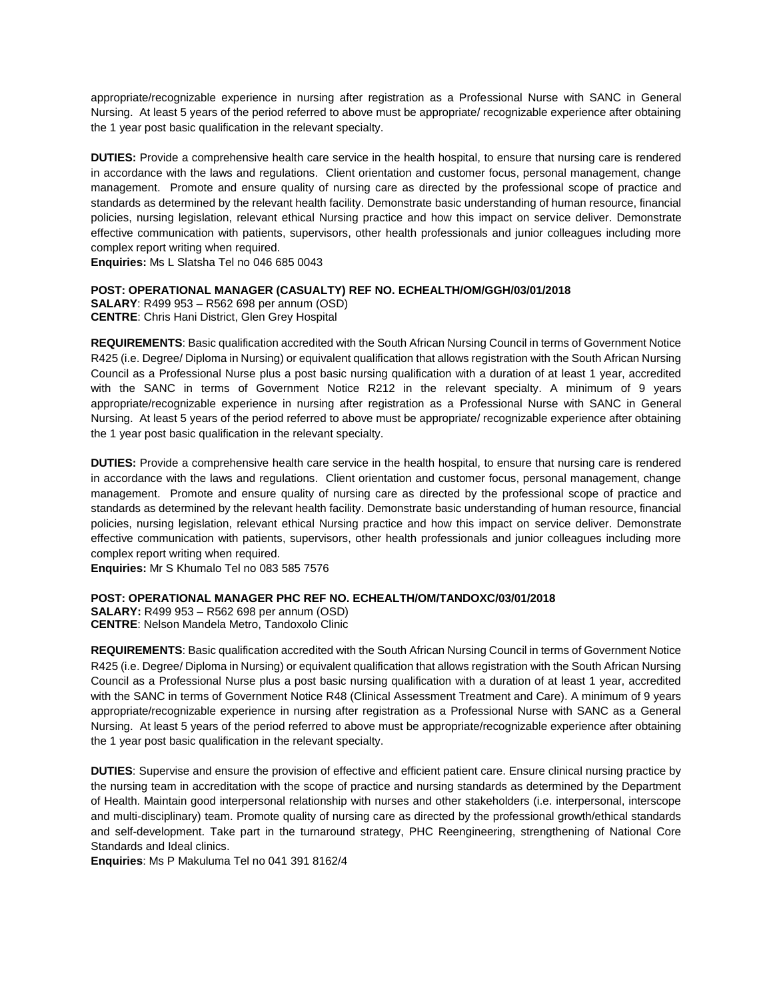appropriate/recognizable experience in nursing after registration as a Professional Nurse with SANC in General Nursing. At least 5 years of the period referred to above must be appropriate/ recognizable experience after obtaining the 1 year post basic qualification in the relevant specialty.

**DUTIES:** Provide a comprehensive health care service in the health hospital, to ensure that nursing care is rendered in accordance with the laws and regulations. Client orientation and customer focus, personal management, change management. Promote and ensure quality of nursing care as directed by the professional scope of practice and standards as determined by the relevant health facility. Demonstrate basic understanding of human resource, financial policies, nursing legislation, relevant ethical Nursing practice and how this impact on service deliver. Demonstrate effective communication with patients, supervisors, other health professionals and junior colleagues including more complex report writing when required.

**Enquiries:** Ms L Slatsha Tel no 046 685 0043

# **POST: OPERATIONAL MANAGER (CASUALTY) REF NO. ECHEALTH/OM/GGH/03/01/2018**

**SALARY**: R499 953 – R562 698 per annum (OSD) **CENTRE**: Chris Hani District, Glen Grey Hospital

**REQUIREMENTS**: Basic qualification accredited with the South African Nursing Council in terms of Government Notice R425 (i.e. Degree/ Diploma in Nursing) or equivalent qualification that allows registration with the South African Nursing Council as a Professional Nurse plus a post basic nursing qualification with a duration of at least 1 year, accredited with the SANC in terms of Government Notice R212 in the relevant specialty. A minimum of 9 years appropriate/recognizable experience in nursing after registration as a Professional Nurse with SANC in General Nursing. At least 5 years of the period referred to above must be appropriate/ recognizable experience after obtaining the 1 year post basic qualification in the relevant specialty.

**DUTIES:** Provide a comprehensive health care service in the health hospital, to ensure that nursing care is rendered in accordance with the laws and regulations. Client orientation and customer focus, personal management, change management. Promote and ensure quality of nursing care as directed by the professional scope of practice and standards as determined by the relevant health facility. Demonstrate basic understanding of human resource, financial policies, nursing legislation, relevant ethical Nursing practice and how this impact on service deliver. Demonstrate effective communication with patients, supervisors, other health professionals and junior colleagues including more complex report writing when required.

**Enquiries:** Mr S Khumalo Tel no 083 585 7576

# **POST: OPERATIONAL MANAGER PHC REF NO. ECHEALTH/OM/TANDOXC/03/01/2018**

**SALARY:** R499 953 – R562 698 per annum (OSD) **CENTRE**: Nelson Mandela Metro, Tandoxolo Clinic

**REQUIREMENTS**: Basic qualification accredited with the South African Nursing Council in terms of Government Notice R425 (i.e. Degree/ Diploma in Nursing) or equivalent qualification that allows registration with the South African Nursing Council as a Professional Nurse plus a post basic nursing qualification with a duration of at least 1 year, accredited with the SANC in terms of Government Notice R48 (Clinical Assessment Treatment and Care). A minimum of 9 years appropriate/recognizable experience in nursing after registration as a Professional Nurse with SANC as a General Nursing. At least 5 years of the period referred to above must be appropriate/recognizable experience after obtaining the 1 year post basic qualification in the relevant specialty.

**DUTIES**: Supervise and ensure the provision of effective and efficient patient care. Ensure clinical nursing practice by the nursing team in accreditation with the scope of practice and nursing standards as determined by the Department of Health. Maintain good interpersonal relationship with nurses and other stakeholders (i.e. interpersonal, interscope and multi-disciplinary) team. Promote quality of nursing care as directed by the professional growth/ethical standards and self-development. Take part in the turnaround strategy, PHC Reengineering, strengthening of National Core Standards and Ideal clinics.

**Enquiries**: Ms P Makuluma Tel no 041 391 8162/4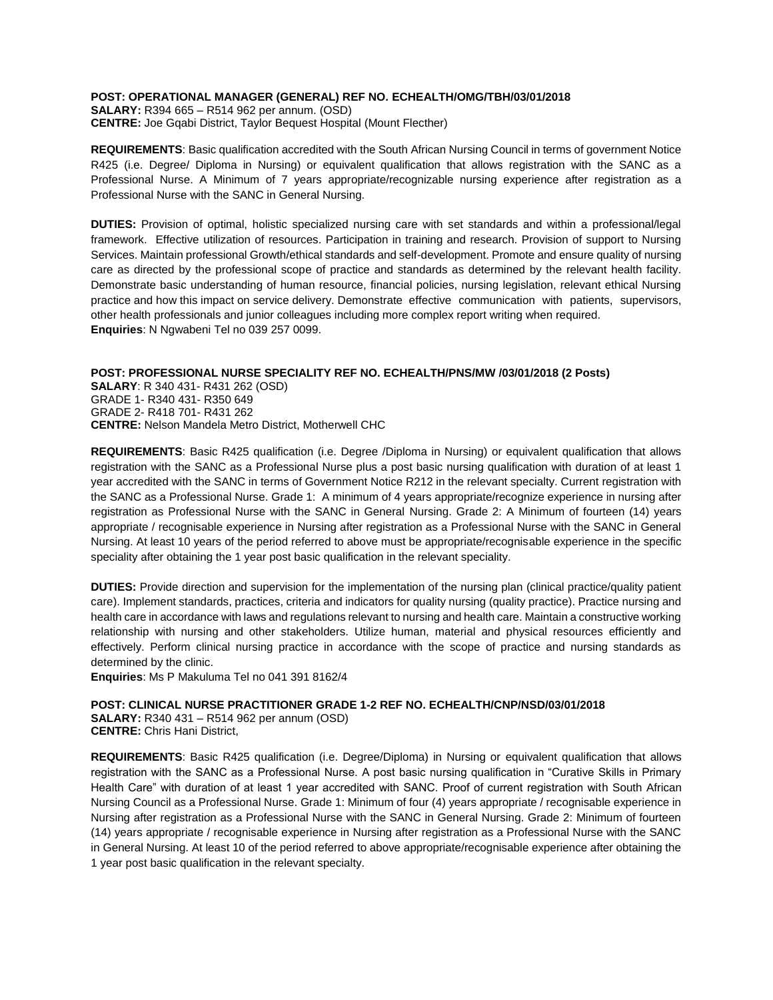## **POST: OPERATIONAL MANAGER (GENERAL) REF NO. ECHEALTH/OMG/TBH/03/01/2018**

**SALARY:** R394 665 – R514 962 per annum. (OSD) **CENTRE:** Joe Gqabi District, Taylor Bequest Hospital (Mount Flecther)

**REQUIREMENTS**: Basic qualification accredited with the South African Nursing Council in terms of government Notice R425 (i.e. Degree/ Diploma in Nursing) or equivalent qualification that allows registration with the SANC as a Professional Nurse. A Minimum of 7 years appropriate/recognizable nursing experience after registration as a Professional Nurse with the SANC in General Nursing.

**DUTIES:** Provision of optimal, holistic specialized nursing care with set standards and within a professional/legal framework. Effective utilization of resources. Participation in training and research. Provision of support to Nursing Services. Maintain professional Growth/ethical standards and self-development. Promote and ensure quality of nursing care as directed by the professional scope of practice and standards as determined by the relevant health facility. Demonstrate basic understanding of human resource, financial policies, nursing legislation, relevant ethical Nursing practice and how this impact on service delivery. Demonstrate effective communication with patients, supervisors, other health professionals and junior colleagues including more complex report writing when required. **Enquiries**: N Ngwabeni Tel no 039 257 0099.

### **POST: PROFESSIONAL NURSE SPECIALITY REF NO. ECHEALTH/PNS/MW /03/01/2018 (2 Posts) SALARY**: R 340 431- R431 262 (OSD) GRADE 1- R340 431- R350 649 GRADE 2- R418 701- R431 262 **CENTRE:** Nelson Mandela Metro District, Motherwell CHC

**REQUIREMENTS**: Basic R425 qualification (i.e. Degree /Diploma in Nursing) or equivalent qualification that allows registration with the SANC as a Professional Nurse plus a post basic nursing qualification with duration of at least 1 year accredited with the SANC in terms of Government Notice R212 in the relevant specialty. Current registration with the SANC as a Professional Nurse. Grade 1: A minimum of 4 years appropriate/recognize experience in nursing after registration as Professional Nurse with the SANC in General Nursing. Grade 2: A Minimum of fourteen (14) years appropriate / recognisable experience in Nursing after registration as a Professional Nurse with the SANC in General Nursing. At least 10 years of the period referred to above must be appropriate/recognisable experience in the specific speciality after obtaining the 1 year post basic qualification in the relevant speciality.

**DUTIES:** Provide direction and supervision for the implementation of the nursing plan (clinical practice/quality patient care). Implement standards, practices, criteria and indicators for quality nursing (quality practice). Practice nursing and health care in accordance with laws and regulations relevant to nursing and health care. Maintain a constructive working relationship with nursing and other stakeholders. Utilize human, material and physical resources efficiently and effectively. Perform clinical nursing practice in accordance with the scope of practice and nursing standards as determined by the clinic.

**Enquiries**: Ms P Makuluma Tel no 041 391 8162/4

# **POST: CLINICAL NURSE PRACTITIONER GRADE 1-2 REF NO. ECHEALTH/CNP/NSD/03/01/2018**

**SALARY:** R340 431 – R514 962 per annum (OSD) **CENTRE:** Chris Hani District,

**REQUIREMENTS**: Basic R425 qualification (i.e. Degree/Diploma) in Nursing or equivalent qualification that allows registration with the SANC as a Professional Nurse. A post basic nursing qualification in "Curative Skills in Primary Health Care" with duration of at least 1 year accredited with SANC. Proof of current registration with South African Nursing Council as a Professional Nurse. Grade 1: Minimum of four (4) years appropriate / recognisable experience in Nursing after registration as a Professional Nurse with the SANC in General Nursing. Grade 2: Minimum of fourteen (14) years appropriate / recognisable experience in Nursing after registration as a Professional Nurse with the SANC in General Nursing. At least 10 of the period referred to above appropriate/recognisable experience after obtaining the 1 year post basic qualification in the relevant specialty.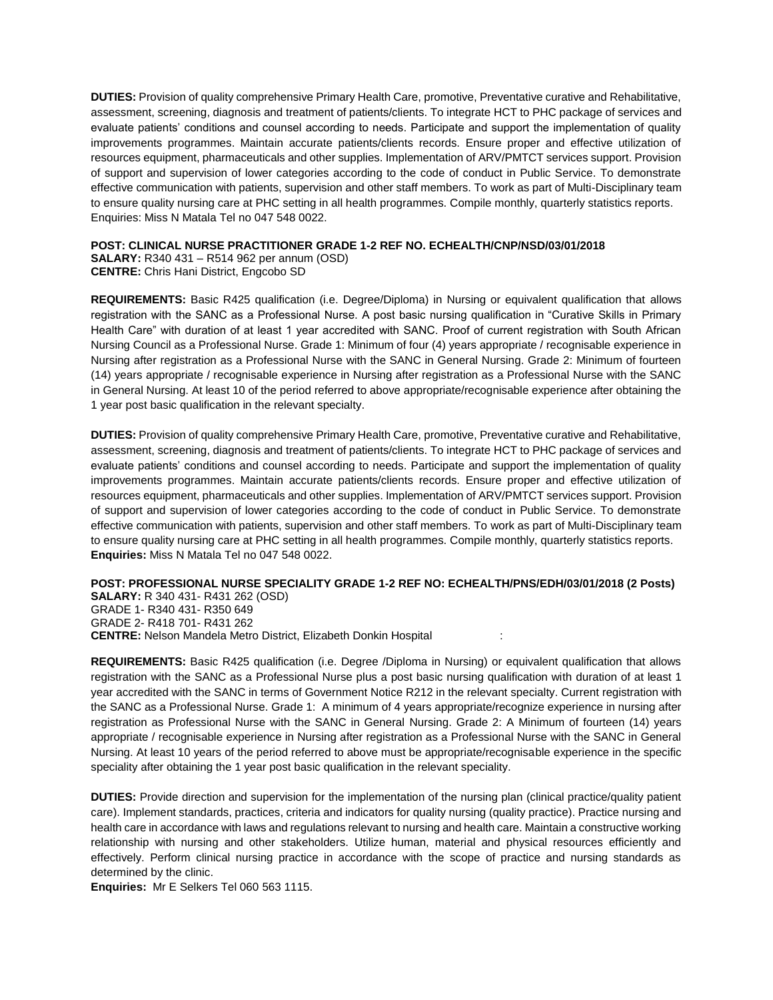**DUTIES:** Provision of quality comprehensive Primary Health Care, promotive, Preventative curative and Rehabilitative, assessment, screening, diagnosis and treatment of patients/clients. To integrate HCT to PHC package of services and evaluate patients' conditions and counsel according to needs. Participate and support the implementation of quality improvements programmes. Maintain accurate patients/clients records. Ensure proper and effective utilization of resources equipment, pharmaceuticals and other supplies. Implementation of ARV/PMTCT services support. Provision of support and supervision of lower categories according to the code of conduct in Public Service. To demonstrate effective communication with patients, supervision and other staff members. To work as part of Multi-Disciplinary team to ensure quality nursing care at PHC setting in all health programmes. Compile monthly, quarterly statistics reports. Enquiries: Miss N Matala Tel no 047 548 0022.

## **POST: CLINICAL NURSE PRACTITIONER GRADE 1-2 REF NO. ECHEALTH/CNP/NSD/03/01/2018**

**SALARY:** R340 431 – R514 962 per annum (OSD) **CENTRE:** Chris Hani District, Engcobo SD

**REQUIREMENTS:** Basic R425 qualification (i.e. Degree/Diploma) in Nursing or equivalent qualification that allows registration with the SANC as a Professional Nurse. A post basic nursing qualification in "Curative Skills in Primary Health Care" with duration of at least 1 year accredited with SANC. Proof of current registration with South African Nursing Council as a Professional Nurse. Grade 1: Minimum of four (4) years appropriate / recognisable experience in Nursing after registration as a Professional Nurse with the SANC in General Nursing. Grade 2: Minimum of fourteen (14) years appropriate / recognisable experience in Nursing after registration as a Professional Nurse with the SANC in General Nursing. At least 10 of the period referred to above appropriate/recognisable experience after obtaining the 1 year post basic qualification in the relevant specialty.

**DUTIES:** Provision of quality comprehensive Primary Health Care, promotive, Preventative curative and Rehabilitative, assessment, screening, diagnosis and treatment of patients/clients. To integrate HCT to PHC package of services and evaluate patients' conditions and counsel according to needs. Participate and support the implementation of quality improvements programmes. Maintain accurate patients/clients records. Ensure proper and effective utilization of resources equipment, pharmaceuticals and other supplies. Implementation of ARV/PMTCT services support. Provision of support and supervision of lower categories according to the code of conduct in Public Service. To demonstrate effective communication with patients, supervision and other staff members. To work as part of Multi-Disciplinary team to ensure quality nursing care at PHC setting in all health programmes. Compile monthly, quarterly statistics reports. **Enquiries:** Miss N Matala Tel no 047 548 0022.

# **POST: PROFESSIONAL NURSE SPECIALITY GRADE 1-2 REF NO: ECHEALTH/PNS/EDH/03/01/2018 (2 Posts)**

**SALARY:** R 340 431- R431 262 (OSD) GRADE 1- R340 431- R350 649 GRADE 2- R418 701- R431 262 **CENTRE:** Nelson Mandela Metro District, Elizabeth Donkin Hospital :

**REQUIREMENTS:** Basic R425 qualification (i.e. Degree /Diploma in Nursing) or equivalent qualification that allows registration with the SANC as a Professional Nurse plus a post basic nursing qualification with duration of at least 1 year accredited with the SANC in terms of Government Notice R212 in the relevant specialty. Current registration with the SANC as a Professional Nurse. Grade 1: A minimum of 4 years appropriate/recognize experience in nursing after registration as Professional Nurse with the SANC in General Nursing. Grade 2: A Minimum of fourteen (14) years appropriate / recognisable experience in Nursing after registration as a Professional Nurse with the SANC in General Nursing. At least 10 years of the period referred to above must be appropriate/recognisable experience in the specific speciality after obtaining the 1 year post basic qualification in the relevant speciality.

**DUTIES:** Provide direction and supervision for the implementation of the nursing plan (clinical practice/quality patient care). Implement standards, practices, criteria and indicators for quality nursing (quality practice). Practice nursing and health care in accordance with laws and regulations relevant to nursing and health care. Maintain a constructive working relationship with nursing and other stakeholders. Utilize human, material and physical resources efficiently and effectively. Perform clinical nursing practice in accordance with the scope of practice and nursing standards as determined by the clinic.

**Enquiries:** Mr E Selkers Tel 060 563 1115.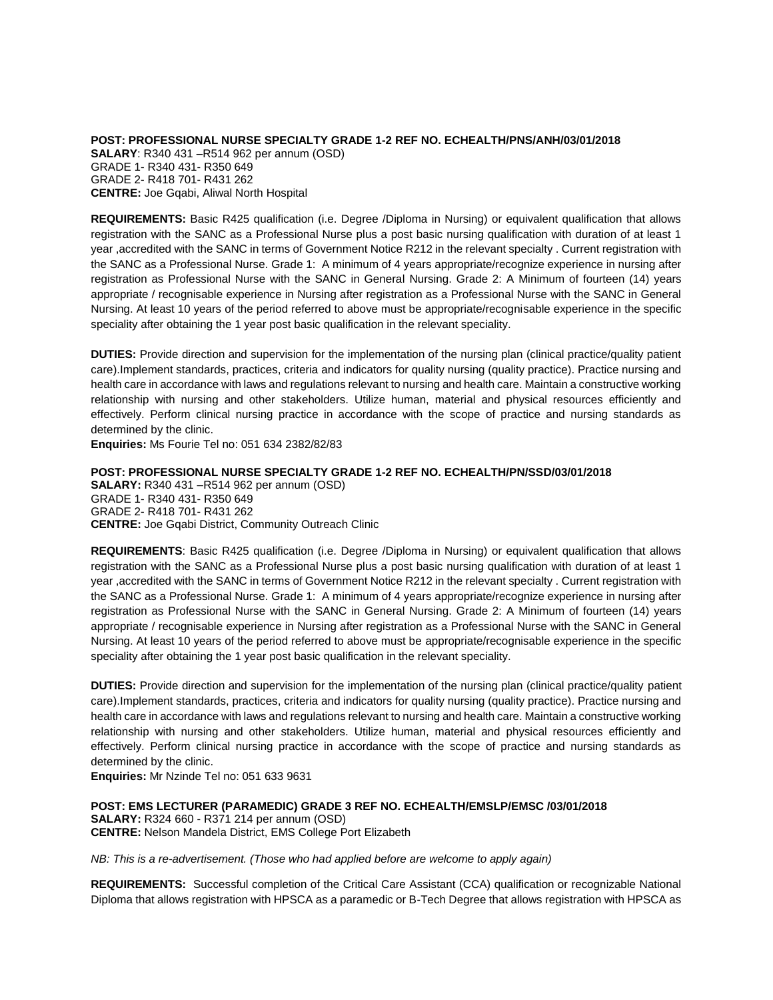**POST: PROFESSIONAL NURSE SPECIALTY GRADE 1-2 REF NO. ECHEALTH/PNS/ANH/03/01/2018 SALARY**: R340 431 –R514 962 per annum (OSD) GRADE 1- R340 431- R350 649 GRADE 2- R418 701- R431 262 **CENTRE:** Joe Gqabi, Aliwal North Hospital

**REQUIREMENTS:** Basic R425 qualification (i.e. Degree /Diploma in Nursing) or equivalent qualification that allows registration with the SANC as a Professional Nurse plus a post basic nursing qualification with duration of at least 1 year ,accredited with the SANC in terms of Government Notice R212 in the relevant specialty . Current registration with the SANC as a Professional Nurse. Grade 1: A minimum of 4 years appropriate/recognize experience in nursing after registration as Professional Nurse with the SANC in General Nursing. Grade 2: A Minimum of fourteen (14) years appropriate / recognisable experience in Nursing after registration as a Professional Nurse with the SANC in General Nursing. At least 10 years of the period referred to above must be appropriate/recognisable experience in the specific speciality after obtaining the 1 year post basic qualification in the relevant speciality.

**DUTIES:** Provide direction and supervision for the implementation of the nursing plan (clinical practice/quality patient care).Implement standards, practices, criteria and indicators for quality nursing (quality practice). Practice nursing and health care in accordance with laws and regulations relevant to nursing and health care. Maintain a constructive working relationship with nursing and other stakeholders. Utilize human, material and physical resources efficiently and effectively. Perform clinical nursing practice in accordance with the scope of practice and nursing standards as determined by the clinic.

**Enquiries:** Ms Fourie Tel no: 051 634 2382/82/83

**POST: PROFESSIONAL NURSE SPECIALTY GRADE 1-2 REF NO. ECHEALTH/PN/SSD/03/01/2018 SALARY:** R340 431 –R514 962 per annum (OSD) GRADE 1- R340 431- R350 649 GRADE 2- R418 701- R431 262 **CENTRE:** Joe Gqabi District, Community Outreach Clinic

**REQUIREMENTS**: Basic R425 qualification (i.e. Degree /Diploma in Nursing) or equivalent qualification that allows registration with the SANC as a Professional Nurse plus a post basic nursing qualification with duration of at least 1 year ,accredited with the SANC in terms of Government Notice R212 in the relevant specialty . Current registration with the SANC as a Professional Nurse. Grade 1: A minimum of 4 years appropriate/recognize experience in nursing after registration as Professional Nurse with the SANC in General Nursing. Grade 2: A Minimum of fourteen (14) years appropriate / recognisable experience in Nursing after registration as a Professional Nurse with the SANC in General Nursing. At least 10 years of the period referred to above must be appropriate/recognisable experience in the specific speciality after obtaining the 1 year post basic qualification in the relevant speciality.

**DUTIES:** Provide direction and supervision for the implementation of the nursing plan (clinical practice/quality patient care).Implement standards, practices, criteria and indicators for quality nursing (quality practice). Practice nursing and health care in accordance with laws and regulations relevant to nursing and health care. Maintain a constructive working relationship with nursing and other stakeholders. Utilize human, material and physical resources efficiently and effectively. Perform clinical nursing practice in accordance with the scope of practice and nursing standards as determined by the clinic.

**Enquiries:** Mr Nzinde Tel no: 051 633 9631

**POST: EMS LECTURER (PARAMEDIC) GRADE 3 REF NO. ECHEALTH/EMSLP/EMSC /03/01/2018 SALARY:** R324 660 - R371 214 per annum (OSD) **CENTRE:** Nelson Mandela District, EMS College Port Elizabeth

*NB: This is a re-advertisement. (Those who had applied before are welcome to apply again)*

**REQUIREMENTS:** Successful completion of the Critical Care Assistant (CCA) qualification or recognizable National Diploma that allows registration with HPSCA as a paramedic or B-Tech Degree that allows registration with HPSCA as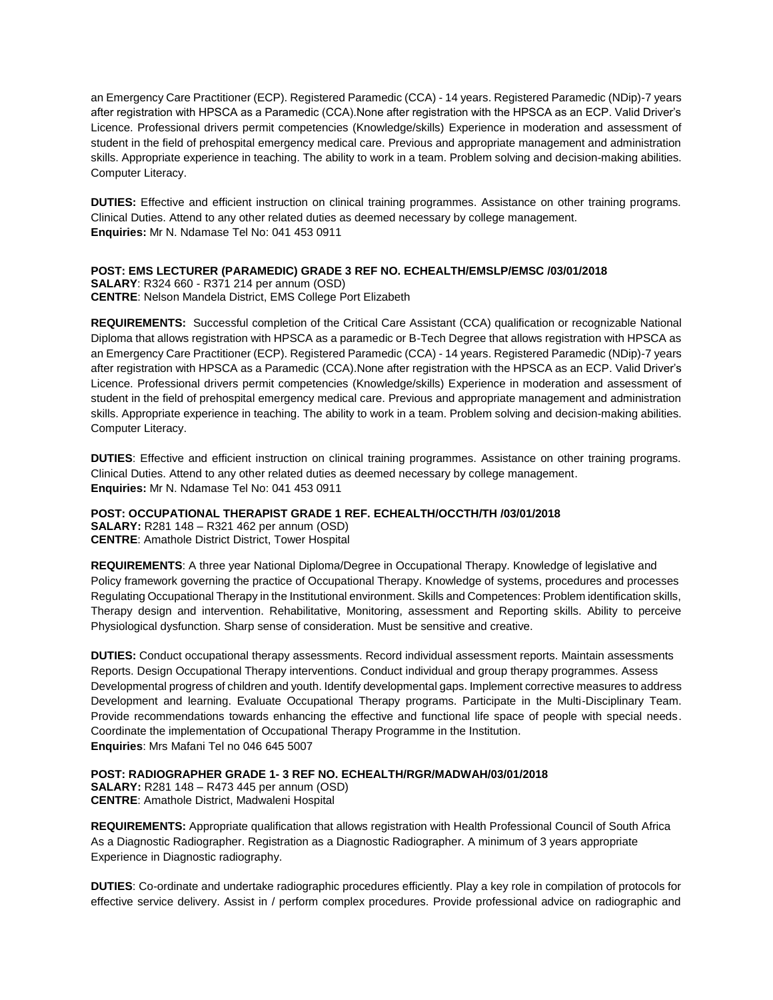an Emergency Care Practitioner (ECP). Registered Paramedic (CCA) - 14 years. Registered Paramedic (NDip)-7 years after registration with HPSCA as a Paramedic (CCA).None after registration with the HPSCA as an ECP. Valid Driver's Licence. Professional drivers permit competencies (Knowledge/skills) Experience in moderation and assessment of student in the field of prehospital emergency medical care. Previous and appropriate management and administration skills. Appropriate experience in teaching. The ability to work in a team. Problem solving and decision-making abilities. Computer Literacy.

**DUTIES:** Effective and efficient instruction on clinical training programmes. Assistance on other training programs. Clinical Duties. Attend to any other related duties as deemed necessary by college management. **Enquiries:** Mr N. Ndamase Tel No: 041 453 0911

## **POST: EMS LECTURER (PARAMEDIC) GRADE 3 REF NO. ECHEALTH/EMSLP/EMSC /03/01/2018**

**SALARY**: R324 660 - R371 214 per annum (OSD) **CENTRE**: Nelson Mandela District, EMS College Port Elizabeth

**REQUIREMENTS:** Successful completion of the Critical Care Assistant (CCA) qualification or recognizable National Diploma that allows registration with HPSCA as a paramedic or B-Tech Degree that allows registration with HPSCA as an Emergency Care Practitioner (ECP). Registered Paramedic (CCA) - 14 years. Registered Paramedic (NDip)-7 years after registration with HPSCA as a Paramedic (CCA).None after registration with the HPSCA as an ECP. Valid Driver's Licence. Professional drivers permit competencies (Knowledge/skills) Experience in moderation and assessment of student in the field of prehospital emergency medical care. Previous and appropriate management and administration skills. Appropriate experience in teaching. The ability to work in a team. Problem solving and decision-making abilities. Computer Literacy.

**DUTIES**: Effective and efficient instruction on clinical training programmes. Assistance on other training programs. Clinical Duties. Attend to any other related duties as deemed necessary by college management. **Enquiries:** Mr N. Ndamase Tel No: 041 453 0911

**POST: OCCUPATIONAL THERAPIST GRADE 1 REF. ECHEALTH/OCCTH/TH /03/01/2018 SALARY:** R281 148 – R321 462 per annum (OSD) **CENTRE**: Amathole District District, Tower Hospital

**REQUIREMENTS**: A three year National Diploma/Degree in Occupational Therapy. Knowledge of legislative and Policy framework governing the practice of Occupational Therapy. Knowledge of systems, procedures and processes Regulating Occupational Therapy in the Institutional environment. Skills and Competences: Problem identification skills, Therapy design and intervention. Rehabilitative, Monitoring, assessment and Reporting skills. Ability to perceive Physiological dysfunction. Sharp sense of consideration. Must be sensitive and creative.

**DUTIES:** Conduct occupational therapy assessments. Record individual assessment reports. Maintain assessments Reports. Design Occupational Therapy interventions. Conduct individual and group therapy programmes. Assess Developmental progress of children and youth. Identify developmental gaps. Implement corrective measures to address Development and learning. Evaluate Occupational Therapy programs. Participate in the Multi-Disciplinary Team. Provide recommendations towards enhancing the effective and functional life space of people with special needs. Coordinate the implementation of Occupational Therapy Programme in the Institution. **Enquiries**: Mrs Mafani Tel no 046 645 5007

**POST: RADIOGRAPHER GRADE 1- 3 REF NO. ECHEALTH/RGR/MADWAH/03/01/2018 SALARY:** R281 148 – R473 445 per annum (OSD) **CENTRE**: Amathole District, Madwaleni Hospital

**REQUIREMENTS:** Appropriate qualification that allows registration with Health Professional Council of South Africa As a Diagnostic Radiographer. Registration as a Diagnostic Radiographer. A minimum of 3 years appropriate Experience in Diagnostic radiography.

**DUTIES**: Co-ordinate and undertake radiographic procedures efficiently. Play a key role in compilation of protocols for effective service delivery. Assist in / perform complex procedures. Provide professional advice on radiographic and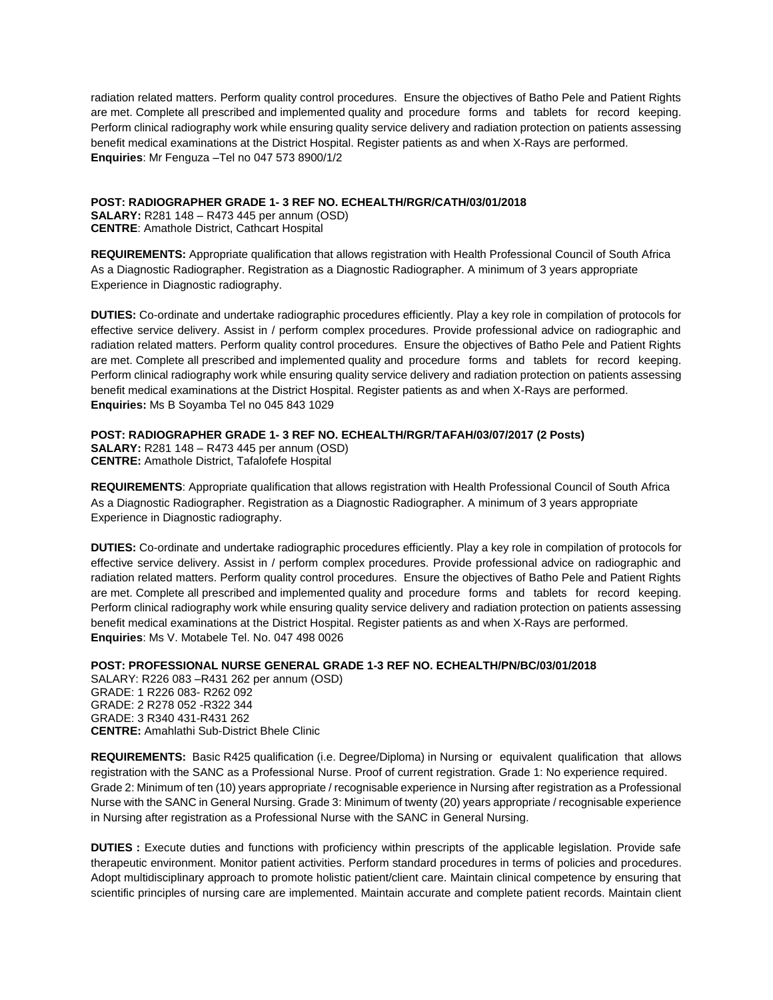radiation related matters. Perform quality control procedures. Ensure the objectives of Batho Pele and Patient Rights are met. Complete all prescribed and implemented quality and procedure forms and tablets for record keeping. Perform clinical radiography work while ensuring quality service delivery and radiation protection on patients assessing benefit medical examinations at the District Hospital. Register patients as and when X-Rays are performed. **Enquiries**: Mr Fenguza –Tel no 047 573 8900/1/2

**POST: RADIOGRAPHER GRADE 1- 3 REF NO. ECHEALTH/RGR/CATH/03/01/2018 SALARY:** R281 148 – R473 445 per annum (OSD) **CENTRE**: Amathole District, Cathcart Hospital

**REQUIREMENTS:** Appropriate qualification that allows registration with Health Professional Council of South Africa As a Diagnostic Radiographer. Registration as a Diagnostic Radiographer. A minimum of 3 years appropriate Experience in Diagnostic radiography.

**DUTIES:** Co-ordinate and undertake radiographic procedures efficiently. Play a key role in compilation of protocols for effective service delivery. Assist in / perform complex procedures. Provide professional advice on radiographic and radiation related matters. Perform quality control procedures. Ensure the objectives of Batho Pele and Patient Rights are met. Complete all prescribed and implemented quality and procedure forms and tablets for record keeping. Perform clinical radiography work while ensuring quality service delivery and radiation protection on patients assessing benefit medical examinations at the District Hospital. Register patients as and when X-Rays are performed. **Enquiries:** Ms B Soyamba Tel no 045 843 1029

## **POST: RADIOGRAPHER GRADE 1- 3 REF NO. ECHEALTH/RGR/TAFAH/03/07/2017 (2 Posts)**

**SALARY:** R281 148 – R473 445 per annum (OSD) **CENTRE:** Amathole District, Tafalofefe Hospital

**REQUIREMENTS**: Appropriate qualification that allows registration with Health Professional Council of South Africa As a Diagnostic Radiographer. Registration as a Diagnostic Radiographer. A minimum of 3 years appropriate Experience in Diagnostic radiography.

**DUTIES:** Co-ordinate and undertake radiographic procedures efficiently. Play a key role in compilation of protocols for effective service delivery. Assist in / perform complex procedures. Provide professional advice on radiographic and radiation related matters. Perform quality control procedures. Ensure the objectives of Batho Pele and Patient Rights are met. Complete all prescribed and implemented quality and procedure forms and tablets for record keeping. Perform clinical radiography work while ensuring quality service delivery and radiation protection on patients assessing benefit medical examinations at the District Hospital. Register patients as and when X-Rays are performed. **Enquiries**: Ms V. Motabele Tel. No. 047 498 0026

## **POST: PROFESSIONAL NURSE GENERAL GRADE 1-3 REF NO. ECHEALTH/PN/BC/03/01/2018**

SALARY: R226 083 –R431 262 per annum (OSD) GRADE: 1 R226 083- R262 092 GRADE: 2 R278 052 -R322 344 GRADE: 3 R340 431-R431 262 **CENTRE:** Amahlathi Sub-District Bhele Clinic

**REQUIREMENTS:** Basic R425 qualification (i.e. Degree/Diploma) in Nursing or equivalent qualification that allows registration with the SANC as a Professional Nurse. Proof of current registration. Grade 1: No experience required. Grade 2: Minimum of ten (10) years appropriate / recognisable experience in Nursing after registration as a Professional Nurse with the SANC in General Nursing. Grade 3: Minimum of twenty (20) years appropriate / recognisable experience in Nursing after registration as a Professional Nurse with the SANC in General Nursing.

**DUTIES :** Execute duties and functions with proficiency within prescripts of the applicable legislation. Provide safe therapeutic environment. Monitor patient activities. Perform standard procedures in terms of policies and procedures. Adopt multidisciplinary approach to promote holistic patient/client care. Maintain clinical competence by ensuring that scientific principles of nursing care are implemented. Maintain accurate and complete patient records. Maintain client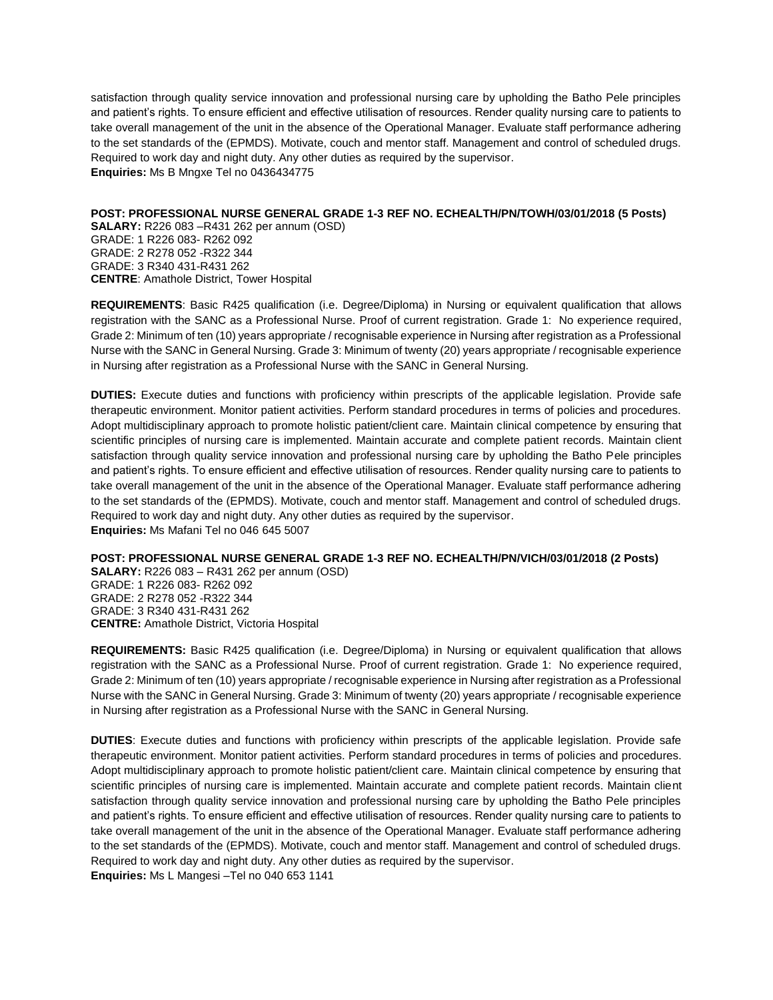satisfaction through quality service innovation and professional nursing care by upholding the Batho Pele principles and patient's rights. To ensure efficient and effective utilisation of resources. Render quality nursing care to patients to take overall management of the unit in the absence of the Operational Manager. Evaluate staff performance adhering to the set standards of the (EPMDS). Motivate, couch and mentor staff. Management and control of scheduled drugs. Required to work day and night duty. Any other duties as required by the supervisor. **Enquiries:** Ms B Mngxe Tel no 0436434775

**POST: PROFESSIONAL NURSE GENERAL GRADE 1-3 REF NO. ECHEALTH/PN/TOWH/03/01/2018 (5 Posts)**

**SALARY:** R226 083 –R431 262 per annum (OSD) GRADE: 1 R226 083- R262 092 GRADE: 2 R278 052 -R322 344 GRADE: 3 R340 431-R431 262 **CENTRE**: Amathole District, Tower Hospital

**REQUIREMENTS**: Basic R425 qualification (i.e. Degree/Diploma) in Nursing or equivalent qualification that allows registration with the SANC as a Professional Nurse. Proof of current registration. Grade 1: No experience required, Grade 2: Minimum of ten (10) years appropriate / recognisable experience in Nursing after registration as a Professional Nurse with the SANC in General Nursing. Grade 3: Minimum of twenty (20) years appropriate / recognisable experience in Nursing after registration as a Professional Nurse with the SANC in General Nursing.

**DUTIES:** Execute duties and functions with proficiency within prescripts of the applicable legislation. Provide safe therapeutic environment. Monitor patient activities. Perform standard procedures in terms of policies and procedures. Adopt multidisciplinary approach to promote holistic patient/client care. Maintain clinical competence by ensuring that scientific principles of nursing care is implemented. Maintain accurate and complete patient records. Maintain client satisfaction through quality service innovation and professional nursing care by upholding the Batho Pele principles and patient's rights. To ensure efficient and effective utilisation of resources. Render quality nursing care to patients to take overall management of the unit in the absence of the Operational Manager. Evaluate staff performance adhering to the set standards of the (EPMDS). Motivate, couch and mentor staff. Management and control of scheduled drugs. Required to work day and night duty. Any other duties as required by the supervisor. **Enquiries:** Ms Mafani Tel no 046 645 5007

**POST: PROFESSIONAL NURSE GENERAL GRADE 1-3 REF NO. ECHEALTH/PN/VICH/03/01/2018 (2 Posts)**

**SALARY:** R226 083 – R431 262 per annum (OSD) GRADE: 1 R226 083- R262 092 GRADE: 2 R278 052 -R322 344 GRADE: 3 R340 431-R431 262 **CENTRE:** Amathole District, Victoria Hospital

**REQUIREMENTS:** Basic R425 qualification (i.e. Degree/Diploma) in Nursing or equivalent qualification that allows registration with the SANC as a Professional Nurse. Proof of current registration. Grade 1: No experience required, Grade 2: Minimum of ten (10) years appropriate / recognisable experience in Nursing after registration as a Professional Nurse with the SANC in General Nursing. Grade 3: Minimum of twenty (20) years appropriate / recognisable experience in Nursing after registration as a Professional Nurse with the SANC in General Nursing.

**DUTIES**: Execute duties and functions with proficiency within prescripts of the applicable legislation. Provide safe therapeutic environment. Monitor patient activities. Perform standard procedures in terms of policies and procedures. Adopt multidisciplinary approach to promote holistic patient/client care. Maintain clinical competence by ensuring that scientific principles of nursing care is implemented. Maintain accurate and complete patient records. Maintain client satisfaction through quality service innovation and professional nursing care by upholding the Batho Pele principles and patient's rights. To ensure efficient and effective utilisation of resources. Render quality nursing care to patients to take overall management of the unit in the absence of the Operational Manager. Evaluate staff performance adhering to the set standards of the (EPMDS). Motivate, couch and mentor staff. Management and control of scheduled drugs. Required to work day and night duty. Any other duties as required by the supervisor.

**Enquiries:** Ms L Mangesi –Tel no 040 653 1141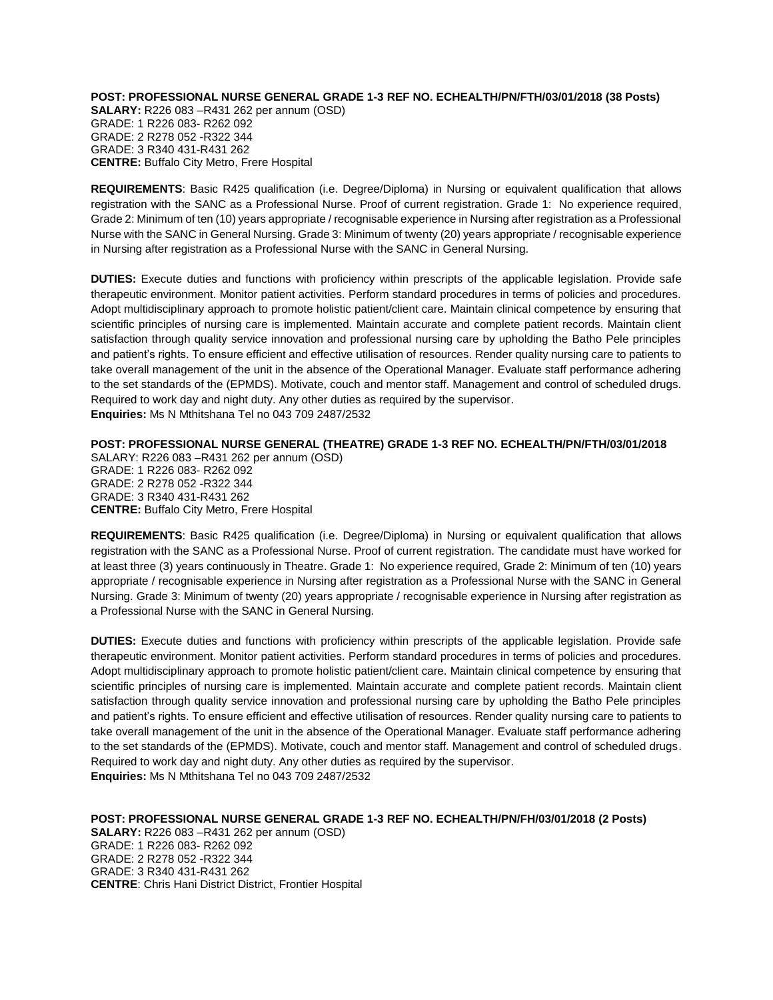**POST: PROFESSIONAL NURSE GENERAL GRADE 1-3 REF NO. ECHEALTH/PN/FTH/03/01/2018 (38 Posts) SALARY:** R226 083 –R431 262 per annum (OSD) GRADE: 1 R226 083- R262 092 GRADE: 2 R278 052 -R322 344 GRADE: 3 R340 431-R431 262 **CENTRE:** Buffalo City Metro, Frere Hospital

**REQUIREMENTS**: Basic R425 qualification (i.e. Degree/Diploma) in Nursing or equivalent qualification that allows registration with the SANC as a Professional Nurse. Proof of current registration. Grade 1: No experience required, Grade 2: Minimum of ten (10) years appropriate / recognisable experience in Nursing after registration as a Professional Nurse with the SANC in General Nursing. Grade 3: Minimum of twenty (20) years appropriate / recognisable experience in Nursing after registration as a Professional Nurse with the SANC in General Nursing.

**DUTIES:** Execute duties and functions with proficiency within prescripts of the applicable legislation. Provide safe therapeutic environment. Monitor patient activities. Perform standard procedures in terms of policies and procedures. Adopt multidisciplinary approach to promote holistic patient/client care. Maintain clinical competence by ensuring that scientific principles of nursing care is implemented. Maintain accurate and complete patient records. Maintain client satisfaction through quality service innovation and professional nursing care by upholding the Batho Pele principles and patient's rights. To ensure efficient and effective utilisation of resources. Render quality nursing care to patients to take overall management of the unit in the absence of the Operational Manager. Evaluate staff performance adhering to the set standards of the (EPMDS). Motivate, couch and mentor staff. Management and control of scheduled drugs. Required to work day and night duty. Any other duties as required by the supervisor. **Enquiries:** Ms N Mthitshana Tel no 043 709 2487/2532

**POST: PROFESSIONAL NURSE GENERAL (THEATRE) GRADE 1-3 REF NO. ECHEALTH/PN/FTH/03/01/2018**  SALARY: R226 083 –R431 262 per annum (OSD) GRADE: 1 R226 083- R262 092 GRADE: 2 R278 052 -R322 344 GRADE: 3 R340 431-R431 262 **CENTRE:** Buffalo City Metro, Frere Hospital

**REQUIREMENTS**: Basic R425 qualification (i.e. Degree/Diploma) in Nursing or equivalent qualification that allows registration with the SANC as a Professional Nurse. Proof of current registration. The candidate must have worked for at least three (3) years continuously in Theatre. Grade 1: No experience required, Grade 2: Minimum of ten (10) years appropriate / recognisable experience in Nursing after registration as a Professional Nurse with the SANC in General Nursing. Grade 3: Minimum of twenty (20) years appropriate / recognisable experience in Nursing after registration as a Professional Nurse with the SANC in General Nursing.

**DUTIES:** Execute duties and functions with proficiency within prescripts of the applicable legislation. Provide safe therapeutic environment. Monitor patient activities. Perform standard procedures in terms of policies and procedures. Adopt multidisciplinary approach to promote holistic patient/client care. Maintain clinical competence by ensuring that scientific principles of nursing care is implemented. Maintain accurate and complete patient records. Maintain client satisfaction through quality service innovation and professional nursing care by upholding the Batho Pele principles and patient's rights. To ensure efficient and effective utilisation of resources. Render quality nursing care to patients to take overall management of the unit in the absence of the Operational Manager. Evaluate staff performance adhering to the set standards of the (EPMDS). Motivate, couch and mentor staff. Management and control of scheduled drugs. Required to work day and night duty. Any other duties as required by the supervisor. **Enquiries:** Ms N Mthitshana Tel no 043 709 2487/2532

**POST: PROFESSIONAL NURSE GENERAL GRADE 1-3 REF NO. ECHEALTH/PN/FH/03/01/2018 (2 Posts) SALARY:** R226 083 –R431 262 per annum (OSD) GRADE: 1 R226 083- R262 092 GRADE: 2 R278 052 -R322 344 GRADE: 3 R340 431-R431 262 **CENTRE**: Chris Hani District District, Frontier Hospital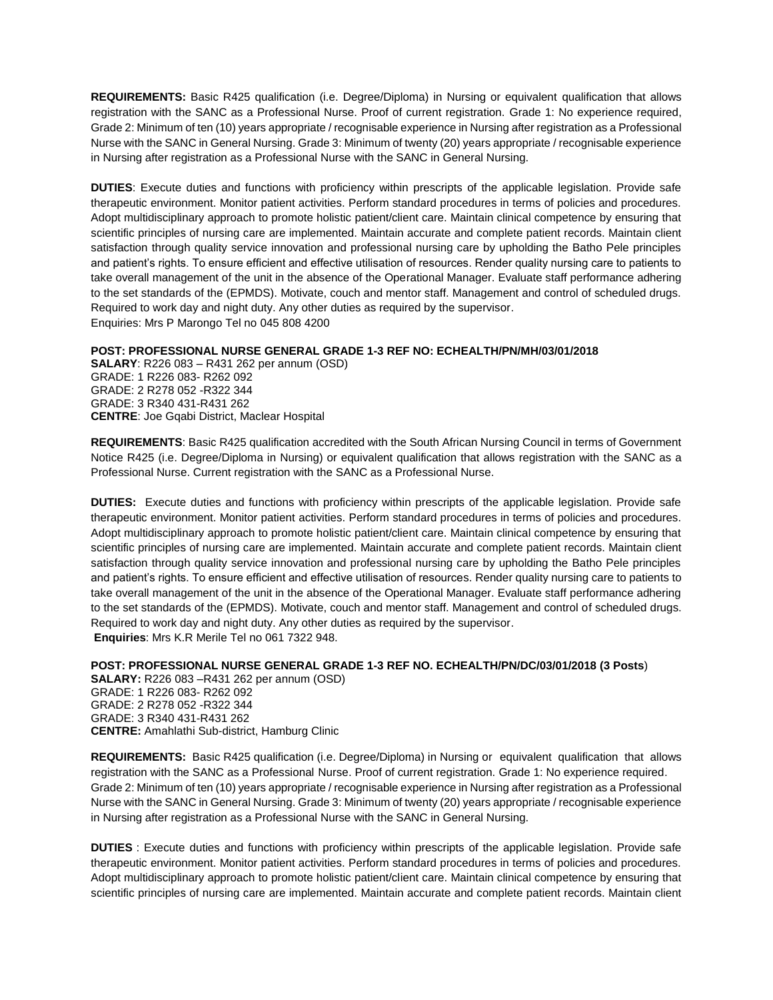**REQUIREMENTS:** Basic R425 qualification (i.e. Degree/Diploma) in Nursing or equivalent qualification that allows registration with the SANC as a Professional Nurse. Proof of current registration. Grade 1: No experience required, Grade 2: Minimum of ten (10) years appropriate / recognisable experience in Nursing after registration as a Professional Nurse with the SANC in General Nursing. Grade 3: Minimum of twenty (20) years appropriate / recognisable experience in Nursing after registration as a Professional Nurse with the SANC in General Nursing.

**DUTIES**: Execute duties and functions with proficiency within prescripts of the applicable legislation. Provide safe therapeutic environment. Monitor patient activities. Perform standard procedures in terms of policies and procedures. Adopt multidisciplinary approach to promote holistic patient/client care. Maintain clinical competence by ensuring that scientific principles of nursing care are implemented. Maintain accurate and complete patient records. Maintain client satisfaction through quality service innovation and professional nursing care by upholding the Batho Pele principles and patient's rights. To ensure efficient and effective utilisation of resources. Render quality nursing care to patients to take overall management of the unit in the absence of the Operational Manager. Evaluate staff performance adhering to the set standards of the (EPMDS). Motivate, couch and mentor staff. Management and control of scheduled drugs. Required to work day and night duty. Any other duties as required by the supervisor. Enquiries: Mrs P Marongo Tel no 045 808 4200

## **POST: PROFESSIONAL NURSE GENERAL GRADE 1-3 REF NO: ECHEALTH/PN/MH/03/01/2018**

**SALARY**: R226 083 – R431 262 per annum (OSD) GRADE: 1 R226 083- R262 092 GRADE: 2 R278 052 -R322 344 GRADE: 3 R340 431-R431 262 **CENTRE**: Joe Gqabi District, Maclear Hospital

**REQUIREMENTS**: Basic R425 qualification accredited with the South African Nursing Council in terms of Government Notice R425 (i.e. Degree/Diploma in Nursing) or equivalent qualification that allows registration with the SANC as a Professional Nurse. Current registration with the SANC as a Professional Nurse.

**DUTIES:** Execute duties and functions with proficiency within prescripts of the applicable legislation. Provide safe therapeutic environment. Monitor patient activities. Perform standard procedures in terms of policies and procedures. Adopt multidisciplinary approach to promote holistic patient/client care. Maintain clinical competence by ensuring that scientific principles of nursing care are implemented. Maintain accurate and complete patient records. Maintain client satisfaction through quality service innovation and professional nursing care by upholding the Batho Pele principles and patient's rights. To ensure efficient and effective utilisation of resources. Render quality nursing care to patients to take overall management of the unit in the absence of the Operational Manager. Evaluate staff performance adhering to the set standards of the (EPMDS). Motivate, couch and mentor staff. Management and control of scheduled drugs. Required to work day and night duty. Any other duties as required by the supervisor. **Enquiries**: Mrs K.R Merile Tel no 061 7322 948.

# **POST: PROFESSIONAL NURSE GENERAL GRADE 1-3 REF NO. ECHEALTH/PN/DC/03/01/2018 (3 Posts**)

**SALARY:** R226 083 –R431 262 per annum (OSD) GRADE: 1 R226 083- R262 092 GRADE: 2 R278 052 -R322 344 GRADE: 3 R340 431-R431 262 **CENTRE:** Amahlathi Sub-district, Hamburg Clinic

**REQUIREMENTS:** Basic R425 qualification (i.e. Degree/Diploma) in Nursing or equivalent qualification that allows registration with the SANC as a Professional Nurse. Proof of current registration. Grade 1: No experience required. Grade 2: Minimum of ten (10) years appropriate / recognisable experience in Nursing after registration as a Professional Nurse with the SANC in General Nursing. Grade 3: Minimum of twenty (20) years appropriate / recognisable experience in Nursing after registration as a Professional Nurse with the SANC in General Nursing.

**DUTIES** : Execute duties and functions with proficiency within prescripts of the applicable legislation. Provide safe therapeutic environment. Monitor patient activities. Perform standard procedures in terms of policies and procedures. Adopt multidisciplinary approach to promote holistic patient/client care. Maintain clinical competence by ensuring that scientific principles of nursing care are implemented. Maintain accurate and complete patient records. Maintain client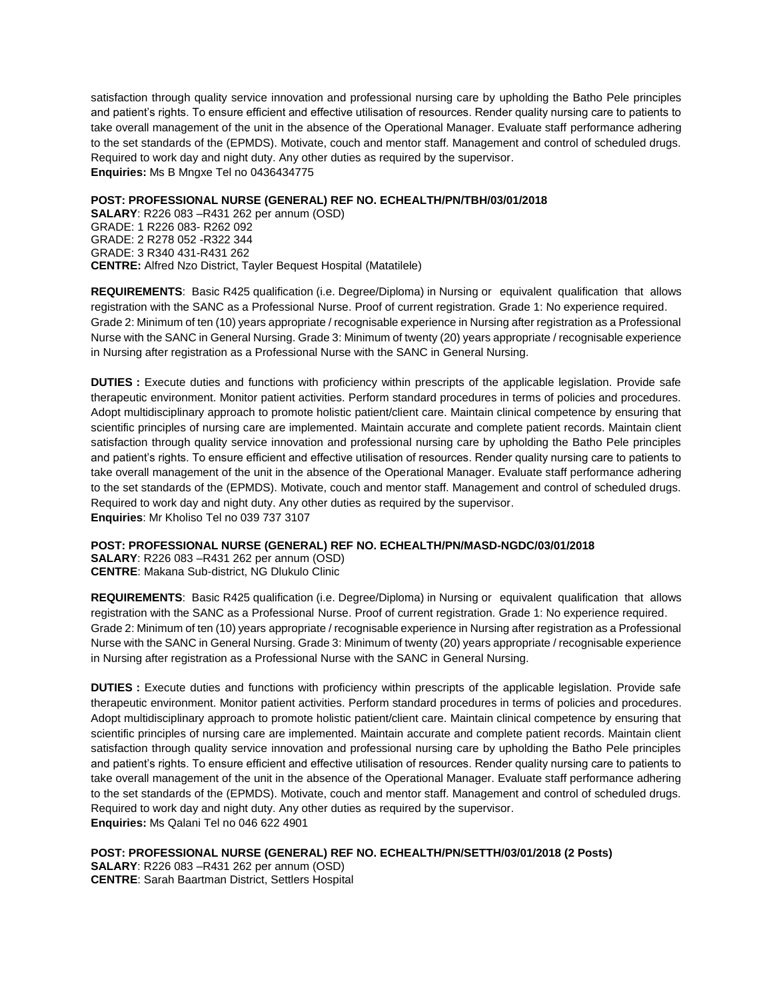satisfaction through quality service innovation and professional nursing care by upholding the Batho Pele principles and patient's rights. To ensure efficient and effective utilisation of resources. Render quality nursing care to patients to take overall management of the unit in the absence of the Operational Manager. Evaluate staff performance adhering to the set standards of the (EPMDS). Motivate, couch and mentor staff. Management and control of scheduled drugs. Required to work day and night duty. Any other duties as required by the supervisor. **Enquiries:** Ms B Mngxe Tel no 0436434775

### **POST: PROFESSIONAL NURSE (GENERAL) REF NO. ECHEALTH/PN/TBH/03/01/2018**

**SALARY**: R226 083 –R431 262 per annum (OSD) GRADE: 1 R226 083- R262 092 GRADE: 2 R278 052 -R322 344 GRADE: 3 R340 431-R431 262 **CENTRE:** Alfred Nzo District, Tayler Bequest Hospital (Matatilele)

**REQUIREMENTS**: Basic R425 qualification (i.e. Degree/Diploma) in Nursing or equivalent qualification that allows registration with the SANC as a Professional Nurse. Proof of current registration. Grade 1: No experience required. Grade 2: Minimum of ten (10) years appropriate / recognisable experience in Nursing after registration as a Professional Nurse with the SANC in General Nursing. Grade 3: Minimum of twenty (20) years appropriate / recognisable experience in Nursing after registration as a Professional Nurse with the SANC in General Nursing.

**DUTIES :** Execute duties and functions with proficiency within prescripts of the applicable legislation. Provide safe therapeutic environment. Monitor patient activities. Perform standard procedures in terms of policies and procedures. Adopt multidisciplinary approach to promote holistic patient/client care. Maintain clinical competence by ensuring that scientific principles of nursing care are implemented. Maintain accurate and complete patient records. Maintain client satisfaction through quality service innovation and professional nursing care by upholding the Batho Pele principles and patient's rights. To ensure efficient and effective utilisation of resources. Render quality nursing care to patients to take overall management of the unit in the absence of the Operational Manager. Evaluate staff performance adhering to the set standards of the (EPMDS). Motivate, couch and mentor staff. Management and control of scheduled drugs. Required to work day and night duty. Any other duties as required by the supervisor. **Enquiries**: Mr Kholiso Tel no 039 737 3107

## **POST: PROFESSIONAL NURSE (GENERAL) REF NO. ECHEALTH/PN/MASD-NGDC/03/01/2018**

**SALARY**: R226 083 –R431 262 per annum (OSD) **CENTRE**: Makana Sub-district, NG Dlukulo Clinic

**REQUIREMENTS**: Basic R425 qualification (i.e. Degree/Diploma) in Nursing or equivalent qualification that allows registration with the SANC as a Professional Nurse. Proof of current registration. Grade 1: No experience required. Grade 2: Minimum of ten (10) years appropriate / recognisable experience in Nursing after registration as a Professional Nurse with the SANC in General Nursing. Grade 3: Minimum of twenty (20) years appropriate / recognisable experience in Nursing after registration as a Professional Nurse with the SANC in General Nursing.

**DUTIES :** Execute duties and functions with proficiency within prescripts of the applicable legislation. Provide safe therapeutic environment. Monitor patient activities. Perform standard procedures in terms of policies and procedures. Adopt multidisciplinary approach to promote holistic patient/client care. Maintain clinical competence by ensuring that scientific principles of nursing care are implemented. Maintain accurate and complete patient records. Maintain client satisfaction through quality service innovation and professional nursing care by upholding the Batho Pele principles and patient's rights. To ensure efficient and effective utilisation of resources. Render quality nursing care to patients to take overall management of the unit in the absence of the Operational Manager. Evaluate staff performance adhering to the set standards of the (EPMDS). Motivate, couch and mentor staff. Management and control of scheduled drugs. Required to work day and night duty. Any other duties as required by the supervisor. **Enquiries:** Ms Qalani Tel no 046 622 4901

**POST: PROFESSIONAL NURSE (GENERAL) REF NO. ECHEALTH/PN/SETTH/03/01/2018 (2 Posts)**

**SALARY**: R226 083 –R431 262 per annum (OSD) **CENTRE**: Sarah Baartman District, Settlers Hospital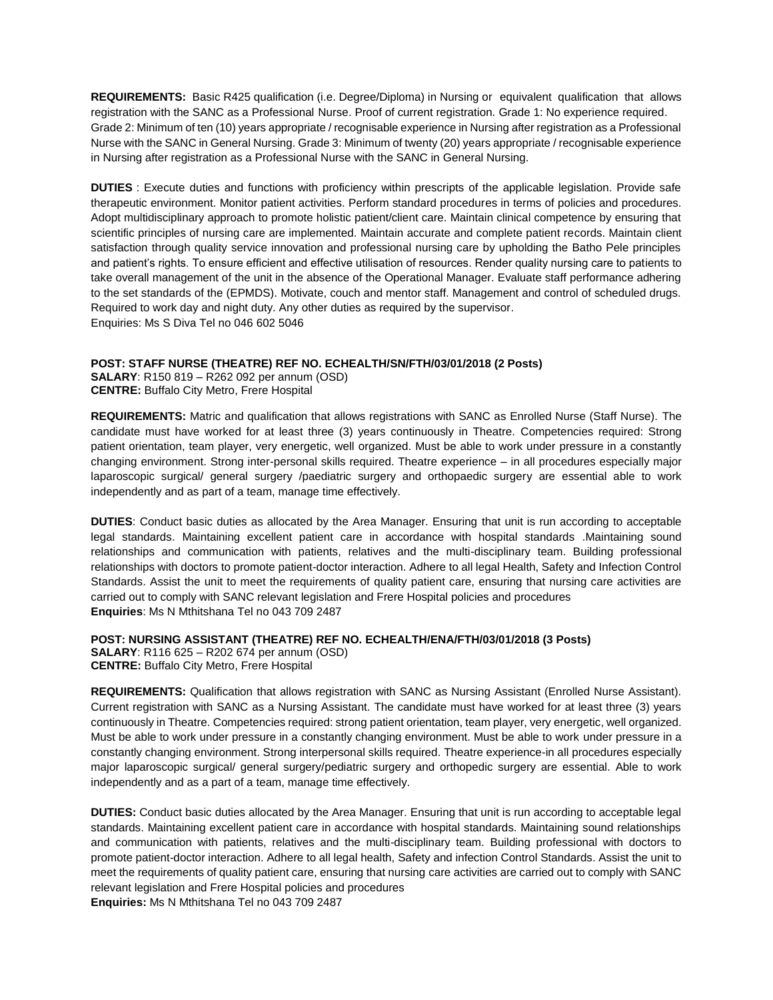**REQUIREMENTS:** Basic R425 qualification (i.e. Degree/Diploma) in Nursing or equivalent qualification that allows registration with the SANC as a Professional Nurse. Proof of current registration. Grade 1: No experience required. Grade 2: Minimum of ten (10) years appropriate / recognisable experience in Nursing after registration as a Professional Nurse with the SANC in General Nursing. Grade 3: Minimum of twenty (20) years appropriate / recognisable experience in Nursing after registration as a Professional Nurse with the SANC in General Nursing.

**DUTIES** : Execute duties and functions with proficiency within prescripts of the applicable legislation. Provide safe therapeutic environment. Monitor patient activities. Perform standard procedures in terms of policies and procedures. Adopt multidisciplinary approach to promote holistic patient/client care. Maintain clinical competence by ensuring that scientific principles of nursing care are implemented. Maintain accurate and complete patient records. Maintain client satisfaction through quality service innovation and professional nursing care by upholding the Batho Pele principles and patient's rights. To ensure efficient and effective utilisation of resources. Render quality nursing care to patients to take overall management of the unit in the absence of the Operational Manager. Evaluate staff performance adhering to the set standards of the (EPMDS). Motivate, couch and mentor staff. Management and control of scheduled drugs. Required to work day and night duty. Any other duties as required by the supervisor. Enquiries: Ms S Diva Tel no 046 602 5046

#### **POST: STAFF NURSE (THEATRE) REF NO. ECHEALTH/SN/FTH/03/01/2018 (2 Posts)**

**SALARY**: R150 819 – R262 092 per annum (OSD) **CENTRE:** Buffalo City Metro, Frere Hospital

**REQUIREMENTS:** Matric and qualification that allows registrations with SANC as Enrolled Nurse (Staff Nurse). The candidate must have worked for at least three (3) years continuously in Theatre. Competencies required: Strong patient orientation, team player, very energetic, well organized. Must be able to work under pressure in a constantly changing environment. Strong inter-personal skills required. Theatre experience – in all procedures especially major laparoscopic surgical/ general surgery /paediatric surgery and orthopaedic surgery are essential able to work independently and as part of a team, manage time effectively.

**DUTIES**: Conduct basic duties as allocated by the Area Manager. Ensuring that unit is run according to acceptable legal standards. Maintaining excellent patient care in accordance with hospital standards .Maintaining sound relationships and communication with patients, relatives and the multi-disciplinary team. Building professional relationships with doctors to promote patient-doctor interaction. Adhere to all legal Health, Safety and Infection Control Standards. Assist the unit to meet the requirements of quality patient care, ensuring that nursing care activities are carried out to comply with SANC relevant legislation and Frere Hospital policies and procedures **Enquiries**: Ms N Mthitshana Tel no 043 709 2487

# **POST: NURSING ASSISTANT (THEATRE) REF NO. ECHEALTH/ENA/FTH/03/01/2018 (3 Posts) SALARY**: R116 625 – R202 674 per annum (OSD)

**CENTRE:** Buffalo City Metro, Frere Hospital

**REQUIREMENTS:** Qualification that allows registration with SANC as Nursing Assistant (Enrolled Nurse Assistant). Current registration with SANC as a Nursing Assistant. The candidate must have worked for at least three (3) years continuously in Theatre. Competencies required: strong patient orientation, team player, very energetic, well organized. Must be able to work under pressure in a constantly changing environment. Must be able to work under pressure in a constantly changing environment. Strong interpersonal skills required. Theatre experience-in all procedures especially major laparoscopic surgical/ general surgery/pediatric surgery and orthopedic surgery are essential. Able to work independently and as a part of a team, manage time effectively.

**DUTIES:** Conduct basic duties allocated by the Area Manager. Ensuring that unit is run according to acceptable legal standards. Maintaining excellent patient care in accordance with hospital standards. Maintaining sound relationships and communication with patients, relatives and the multi-disciplinary team. Building professional with doctors to promote patient-doctor interaction. Adhere to all legal health, Safety and infection Control Standards. Assist the unit to meet the requirements of quality patient care, ensuring that nursing care activities are carried out to comply with SANC relevant legislation and Frere Hospital policies and procedures

**Enquiries:** Ms N Mthitshana Tel no 043 709 2487